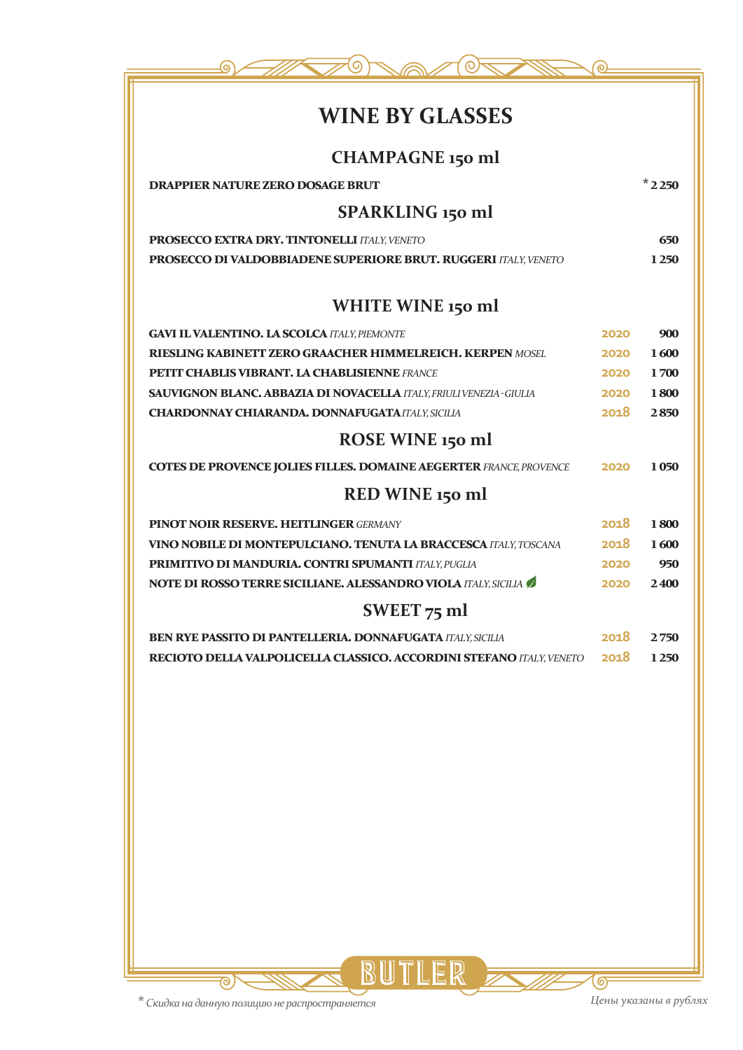

# **WINE BY GLASSES**

| <b>CHAMPAGNE 150 ml</b>                                                     |      |           |
|-----------------------------------------------------------------------------|------|-----------|
| <b>DRAPPIER NATURE ZERO DOSAGE BRUT</b>                                     |      | $*$ 2 250 |
| SPARKLING 150 ml                                                            |      |           |
| PROSECCO EXTRA DRY. TINTONELLI ITALY, VENETO                                |      | 650       |
| <b>PROSECCO DI VALDOBBIADENE SUPERIORE BRUT. RUGGERI ITALY, VENETO</b>      |      | 1 2 5 0   |
| WHITE WINE 150 ml                                                           |      |           |
| <b>GAVI IL VALENTINO. LA SCOLCA ITALY, PIEMONTE</b>                         | 2020 | 900       |
| <b>RIESLING KABINETT ZERO GRAACHER HIMMELREICH. KERPEN MOSEL</b>            | 2020 | 1600      |
| <b>PETIT CHABLIS VIBRANT. LA CHABLISIENNE FRANCE</b>                        | 2020 | 1700      |
| <b>SAUVIGNON BLANC. ABBAZIA DI NOVACELLA ITALY, FRIULI VENEZIA - GIULIA</b> | 2020 | 1800      |
| <b>CHARDONNAY CHIARANDA, DONNAFUGATA ITALY, SICILIA</b>                     | 2018 | 2850      |
| ROSE WINE 150 ml                                                            |      |           |
| <b>COTES DE PROVENCE JOLIES FILLES. DOMAINE AEGERTER FRANCE, PROVENCE</b>   | 2020 | 1050      |
| RED WINE 150 ml                                                             |      |           |
| <b>PINOT NOIR RESERVE. HEITLINGER GERMANY</b>                               | 2018 | 1800      |
| <b>VINO NOBILE DI MONTEPULCIANO. TENUTA LA BRACCESCA ITALY, TOSCANA</b>     | 2018 | 1600      |
| PRIMITIVO DI MANDURIA. CONTRI SPUMANTI ITALY, PUGLIA                        | 2020 | 950       |
| NOTE DI ROSSO TERRE SICILIANE. ALESSANDRO VIOLA ITALY, SICILIA              | 2020 | 2400      |
| SWEET $75$ ml                                                               |      |           |
| <b>BEN RYE PASSITO DI PANTELLERIA, DONNAFUGATA ITALY, SICILIA</b>           | 2018 | 2750      |
| RECIOTO DELLA VALPOLICELLA CLASSICO. ACCORDINI STEFANO ITALY, VENETO        | 2018 | 1 2 5 0   |
|                                                                             |      |           |

BUTLER

**\*** *Скидка на данную позицию не распространяется*

ক

 $\overline{\mathbin{\circledcirc}}$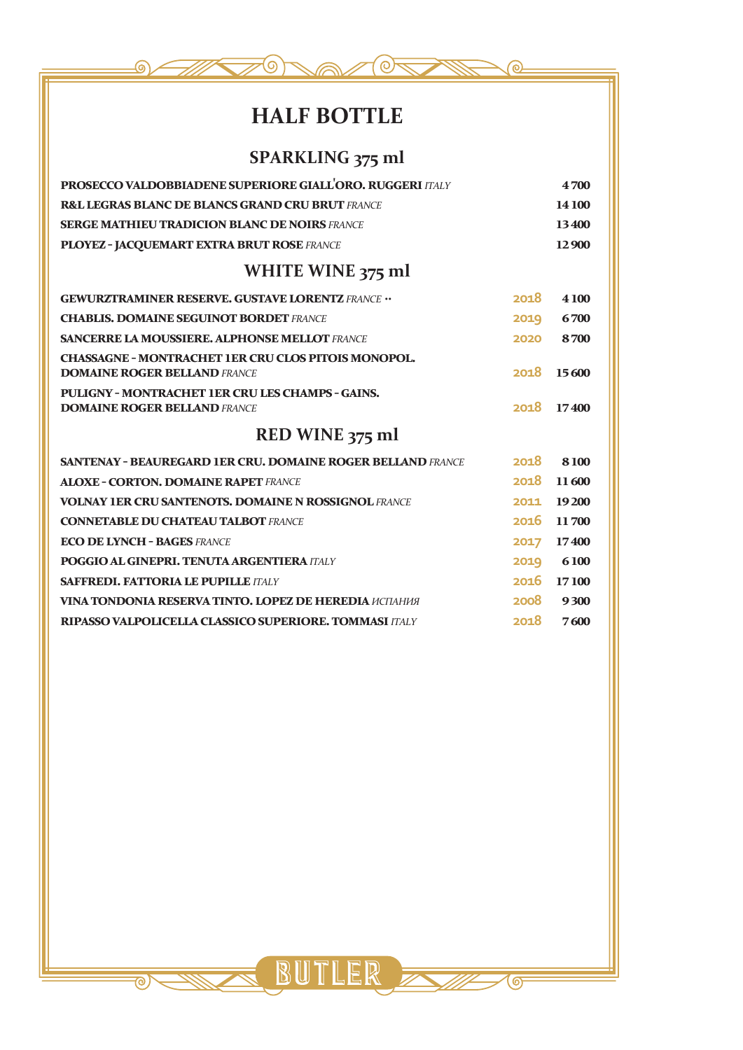

# **HALF BOTTLE**

## **SPARKLING 375 ml**

| PROSECCO VALDOBBIADENE SUPERIORE GIALL'ORO. RUGGERI ITALY                               |      | 4700       |
|-----------------------------------------------------------------------------------------|------|------------|
| <b>R&amp;L LEGRAS BLANC DE BLANCS GRAND CRU BRUT FRANCE</b>                             |      | 14 100     |
| <b>SERGE MATHIEU TRADICION BLANC DE NOIRS FRANCE</b>                                    |      | 13400      |
| PLOYEZ - JACQUEMART EXTRA BRUT ROSE FRANCE                                              |      | 12900      |
| WHITE WINE 375 ml                                                                       |      |            |
| <b>GEWURZTRAMINER RESERVE. GUSTAVE LORENTZ FRANCE </b>                                  | 2018 | 4 100      |
| <b>CHABLIS. DOMAINE SEGUINOT BORDET FRANCE</b>                                          | 2019 | 6700       |
| <b>SANCERRE LA MOUSSIERE. ALPHONSE MELLOT FRANCE</b>                                    | 2020 | 8700       |
| <b>CHASSAGNE - MONTRACHET 1ER CRU CLOS PITOIS MONOPOL.</b>                              |      |            |
| <b>DOMAINE ROGER BELLAND FRANCE</b>                                                     | 2018 | 15600      |
| PULIGNY - MONTRACHET 1ER CRU LES CHAMPS - GAINS.<br><b>DOMAINE ROGER BELLAND FRANCE</b> | 2018 | 17400      |
| RED WINE 375 ml                                                                         |      |            |
| <b>SANTENAY - BEAUREGARD 1ER CRU. DOMAINE ROGER BELLAND FRANCE</b>                      | 2018 | 8100       |
| <b>ALOXE - CORTON. DOMAINE RAPET FRANCE</b>                                             | 2018 | 11600      |
| <b>VOLNAY 1ER CRU SANTENOTS. DOMAINE N ROSSIGNOL FRANCE</b>                             | 2011 | 19 200     |
| <b>CONNETABLE DU CHATEAU TALBOT FRANCE</b>                                              | 2016 | 11700      |
| <b>ECO DE LYNCH - BAGES FRANCE</b>                                                      | 2017 | 17400      |
| POGGIO AL GINEPRI, TENUTA ARGENTIERA ITALY                                              | 2019 | 6100       |
| <b>SAFFREDI. FATTORIA LE PUPILLE ITALY</b>                                              |      | 2016 17100 |
| <b>VINA TONDONIA RESERVA TINTO. LOPEZ DE HEREDIA ИСПАНИЯ</b>                            | 2008 | 9300       |
| <b>RIPASSO VALPOLICELLA CLASSICO SUPERIORE. TOMMASI ITALY</b>                           | 2018 | 7600       |

BUTLER E

 $\overline{\mathsf{G}}$ 

 $\overline{\mathbf{e}}$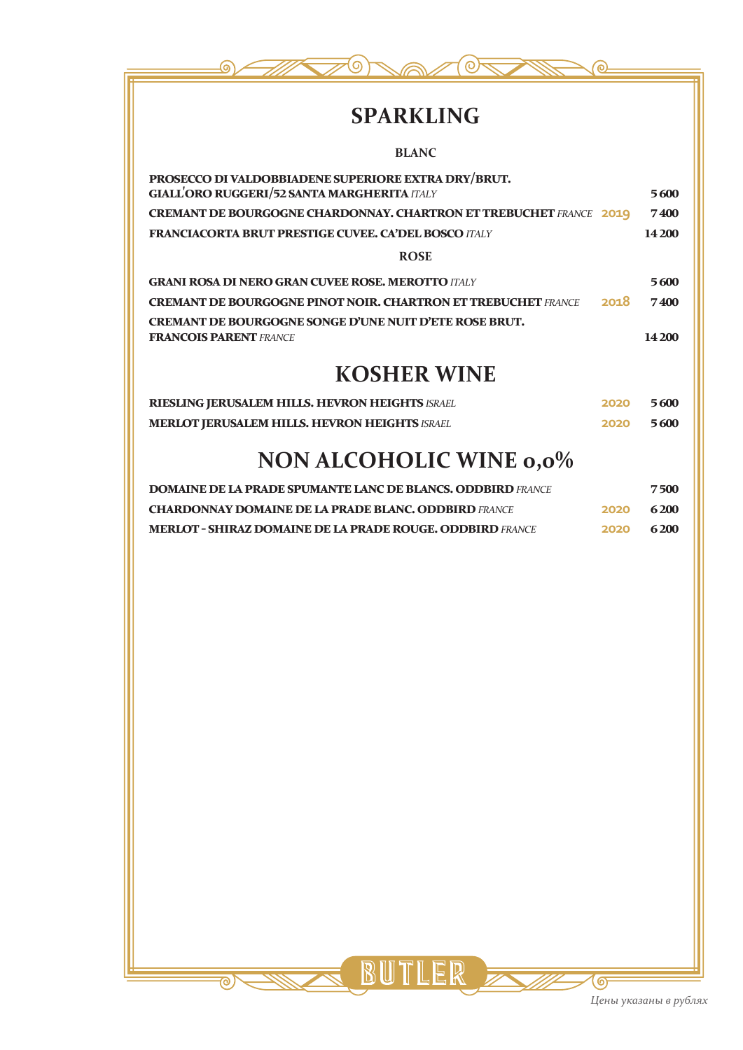

# **SPARKLING**

| <b>BLANC</b>                                                                                              |             |
|-----------------------------------------------------------------------------------------------------------|-------------|
| PROSECCO DI VALDOBBIADENE SUPERIORE EXTRA DRY/BRUT.<br><b>GIALL'ORO RUGGERI/52 SANTA MARGHERITA ITALY</b> | 5600        |
| <b>CREMANT DE BOURGOGNE CHARDONNAY. CHARTRON ET TREBUCHET FRANCE 2019</b>                                 | 7400        |
| <b>FRANCIACORTA BRUT PRESTIGE CUVEE. CA'DEL BOSCO ITALY</b>                                               | 14 200      |
| <b>ROSE</b>                                                                                               |             |
| <b>GRANI ROSA DI NERO GRAN CUVEE ROSE. MEROTTO ITALY</b>                                                  | 5600        |
| 2018<br><b>CREMANT DE BOURGOGNE PINOT NOIR. CHARTRON ET TREBUCHET FRANCE</b>                              | <b>7400</b> |
| <b>CREMANT DE BOURGOGNE SONGE D'UNE NUIT D'ETE ROSE BRUT.</b><br><b>FRANCOIS PARENT FRANCE</b>            | 14 200      |
| <b>KOSHER WINE</b>                                                                                        |             |
| RIESLING JERUSALEM HILLS. HEVRON HEIGHTS ISRAEL<br>2020                                                   | 5600        |

# **NON ALCOHOLIC WINE 0,0%**

**MERLOT JERUSALEM HILLS. HEVRON HEIGHTS** *ISRAEL* **2020 5 600**

| <b>DOMAINE DE LA PRADE SPUMANTE LANC DE BLANCS. ODDBIRD FRANCE</b> |      | 7500 |
|--------------------------------------------------------------------|------|------|
| <b>CHARDONNAY DOMAINE DE LA PRADE BLANC. ODDBIRD FRANCE</b>        | 2020 | 6200 |
| <b>MERLOT - SHIRAZ DOMAINE DE LA PRADE ROUGE. ODDBIRD FRANCE</b>   | 2020 | 6200 |

BUTLER

 $\overline{\circ}$ 

ஒ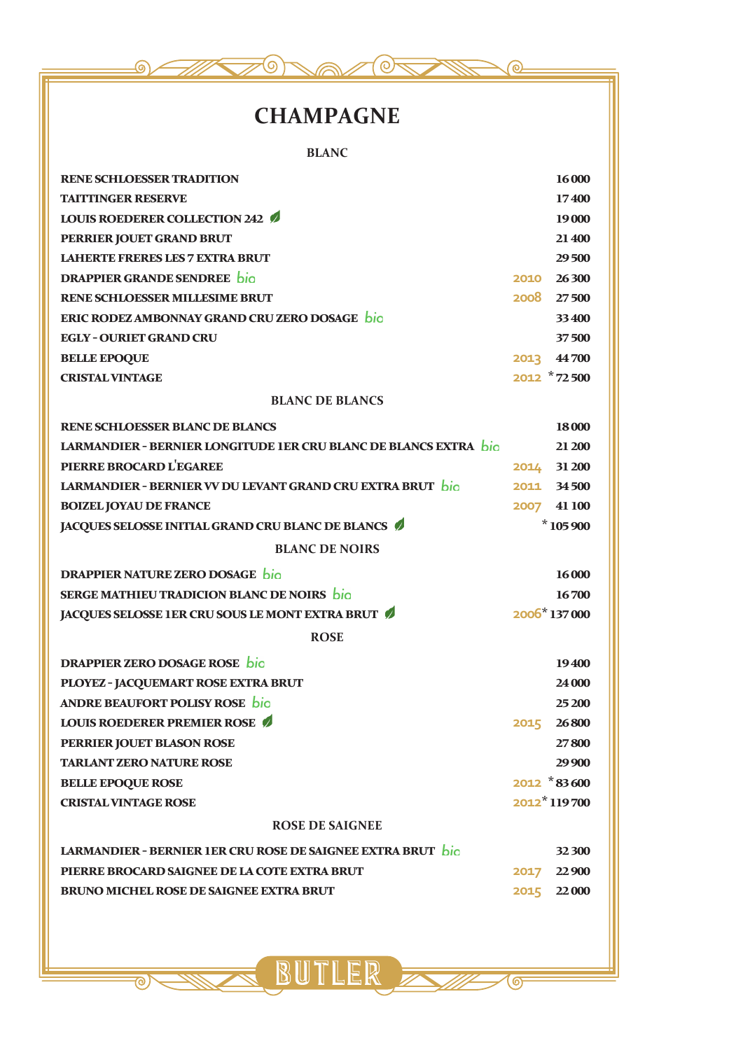

# **CHAMPAGNE**

**BLANC**

| <b>RENE SCHLOESSER TRADITION</b>                                        | 16 000         |
|-------------------------------------------------------------------------|----------------|
| <b>TAITTINGER RESERVE</b>                                               | 17400          |
| <b>LOUIS ROEDERER COLLECTION 242 /</b>                                  | 19 000         |
| PERRIER JOUET GRAND BRUT                                                | 21 400         |
| <b>LAHERTE FRERES LES 7 EXTRA BRUT</b>                                  | 29500          |
| <b>DRAPPIER GRANDE SENDREE</b> bio                                      | 2010 26300     |
| <b>RENE SCHLOESSER MILLESIME BRUT</b>                                   | 2008 27500     |
| ERIC RODEZ AMBONNAY GRAND CRU ZERO DOSAGE bio                           | 33 400         |
| <b>EGLY - OURIET GRAND CRU</b>                                          | 37500          |
| <b>BELLE EPOQUE</b>                                                     | 2013 44700     |
| <b>CRISTAL VINTAGE</b>                                                  | 2012 *72500    |
| <b>BLANC DE BLANCS</b>                                                  |                |
| <b>RENE SCHLOESSER BLANC DE BLANCS</b>                                  | 18 000         |
| <b>LARMANDIER - BERNIER LONGITUDE 1ER CRU BLANC DE BLANCS EXTRA</b> bio | 21 200         |
| PIERRE BROCARD L'EGAREE                                                 | 2014 31 200    |
| LARMANDIER - BERNIER VV DU LEVANT GRAND CRU EXTRA BRUT bio              | 2011 34500     |
| <b>BOIZEL JOYAU DE FRANCE</b>                                           | 2007 41 100    |
| JACQUES SELOSSE INITIAL GRAND CRU BLANC DE BLANCS                       | $*105900$      |
| <b>BLANC DE NOIRS</b>                                                   |                |
| <b>DRAPPIER NATURE ZERO DOSAGE</b> bio                                  | 16 000         |
| SERGE MATHIEU TRADICION BLANC DE NOIRS bio                              | 16700          |
| JACQUES SELOSSE 1ER CRU SOUS LE MONT EXTRA BRUT                         | 2006*137000    |
| <b>ROSE</b>                                                             |                |
| <b>DRAPPIER ZERO DOSAGE ROSE bio</b>                                    | 19400          |
| PLOYEZ - JACQUEMART ROSE EXTRA BRUT                                     | 24 000         |
| ANDRE BEAUFORT POLISY ROSE bio                                          | 25 200         |
| <b>LOUIS ROEDERER PREMIER ROSE</b>                                      | 2015 26800     |
| PERRIER JOUET BLASON ROSE                                               | 27800          |
| <b>TARLANT ZERO NATURE ROSE</b>                                         | 29 900         |
| <b>BELLE EPOQUE ROSE</b>                                                | $2012 * 83600$ |
| <b>CRISTAL VINTAGE ROSE</b>                                             | 2012*119700    |
| <b>ROSE DE SAIGNEE</b>                                                  |                |
| LARMANDIER - BERNIER 1ER CRU ROSE DE SAIGNEE EXTRA BRUT bio             | 32 300         |
| PIERRE BROCARD SAIGNEE DE LA COTE EXTRA BRUT                            | 2017 22 900    |
| <b>BRUNO MICHEL ROSE DE SAIGNEE EXTRA BRUT</b>                          | 2015 22000     |
|                                                                         |                |
|                                                                         |                |

SUTLER E

 $\overline{\bullet}$ 

<u> ನ</u>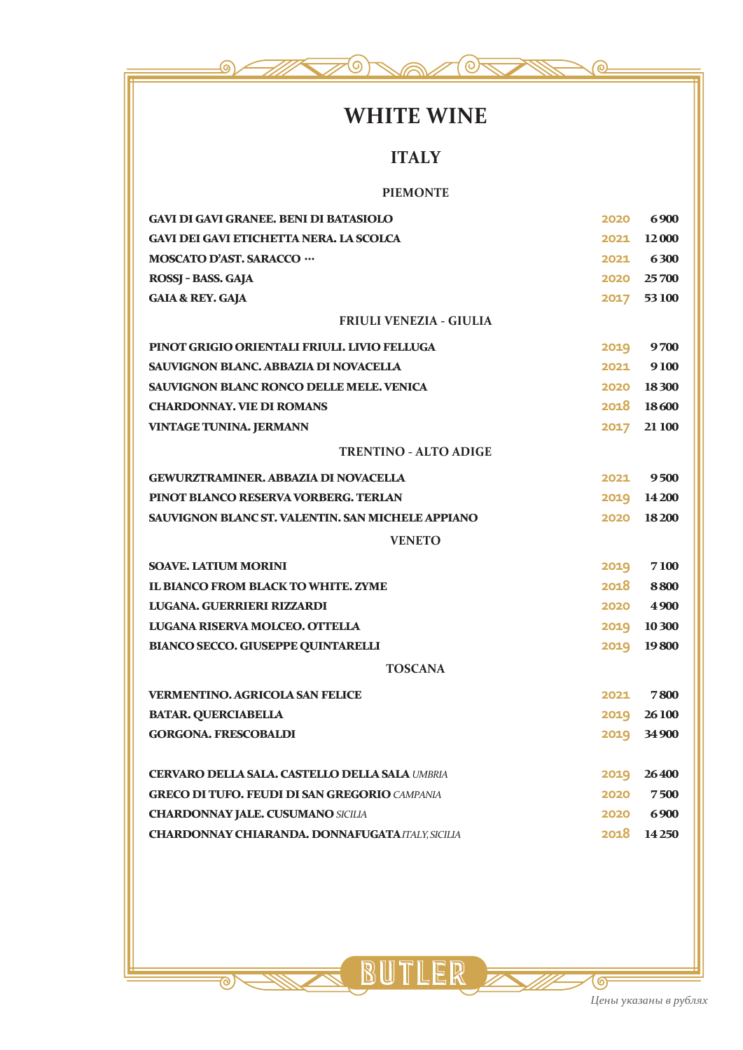

# **WHITE WINE**

## **ITALY**

#### **PIEMONTE**

| <b>GAVI DI GAVI GRANEE, BENI DI BATASIOLO</b>                                                       | 2020 | 6900                    |
|-----------------------------------------------------------------------------------------------------|------|-------------------------|
| <b>GAVI DEI GAVI ETICHETTA NERA. LA SCOLCA</b>                                                      | 2021 | 12 000                  |
| <b>MOSCATO D'AST. SARACCO ···</b>                                                                   |      | 2021 6300               |
| ROSSJ - BASS, GAJA                                                                                  |      | 2020 25700              |
| <b>GAIA &amp; REY. GAJA</b>                                                                         |      | 2017 53100              |
| <b>FRIULI VENEZIA - GIULIA</b>                                                                      |      |                         |
| PINOT GRIGIO ORIENTALI FRIULI, LIVIO FELLUGA                                                        | 2019 | 9700                    |
| <b>SAUVIGNON BLANC. ABBAZIA DI NOVACELLA</b>                                                        | 2021 | 9100                    |
| <b>SAUVIGNON BLANC RONCO DELLE MELE, VENICA</b>                                                     |      | 2020 18300              |
| <b>CHARDONNAY, VIE DI ROMANS</b>                                                                    |      | 2018 18600              |
| VINTAGE TUNINA. JERMANN                                                                             | 2017 | 21 100                  |
| <b>TRENTINO - ALTO ADIGE</b>                                                                        |      |                         |
| <b>GEWURZTRAMINER. ABBAZIA DI NOVACELLA</b>                                                         | 2021 | 9500                    |
| PINOT BLANCO RESERVA VORBERG. TERLAN                                                                |      | 2019 14 200             |
| <b>SAUVIGNON BLANC ST. VALENTIN. SAN MICHELE APPIANO</b>                                            | 2020 | 18200                   |
|                                                                                                     |      |                         |
| <b>VENETO</b>                                                                                       |      |                         |
| <b>SOAVE. LATIUM MORINI</b>                                                                         | 2019 | 7100                    |
| <b>IL BIANCO FROM BLACK TO WHITE. ZYME</b>                                                          | 2018 | 8800                    |
| LUGANA. GUERRIERI RIZZARDI                                                                          | 2020 | 4 9 0 0                 |
| LUGANA RISERVA MOLCEO. OTTELLA                                                                      | 2019 | 10 300                  |
| <b>BIANCO SECCO. GIUSEPPE QUINTARELLI</b>                                                           | 2019 | 19800                   |
| <b>TOSCANA</b>                                                                                      |      |                         |
| <b>VERMENTINO. AGRICOLA SAN FELICE</b>                                                              | 2021 | 7800                    |
| <b>BATAR. QUERCIABELLA</b>                                                                          | 2019 | 26 100                  |
| <b>GORGONA. FRESCOBALDI</b>                                                                         | 2019 | <b>34 900</b>           |
|                                                                                                     |      |                         |
| <b>CERVARO DELLA SALA. CASTELLO DELLA SALA UMBRIA</b>                                               | 2019 | 26400                   |
| <b>GRECO DI TUFO. FEUDI DI SAN GREGORIO CAMPANIA</b>                                                |      | 2020 7500               |
| <b>CHARDONNAY JALE. CUSUMANO SICILIA</b><br><b>CHARDONNAY CHIARANDA, DONNAFUGATA ITALY, SICILIA</b> |      | 2020 6900<br>2018 14250 |

SUTLER E

<u>ಾ</u>

 $\overline{\odot}$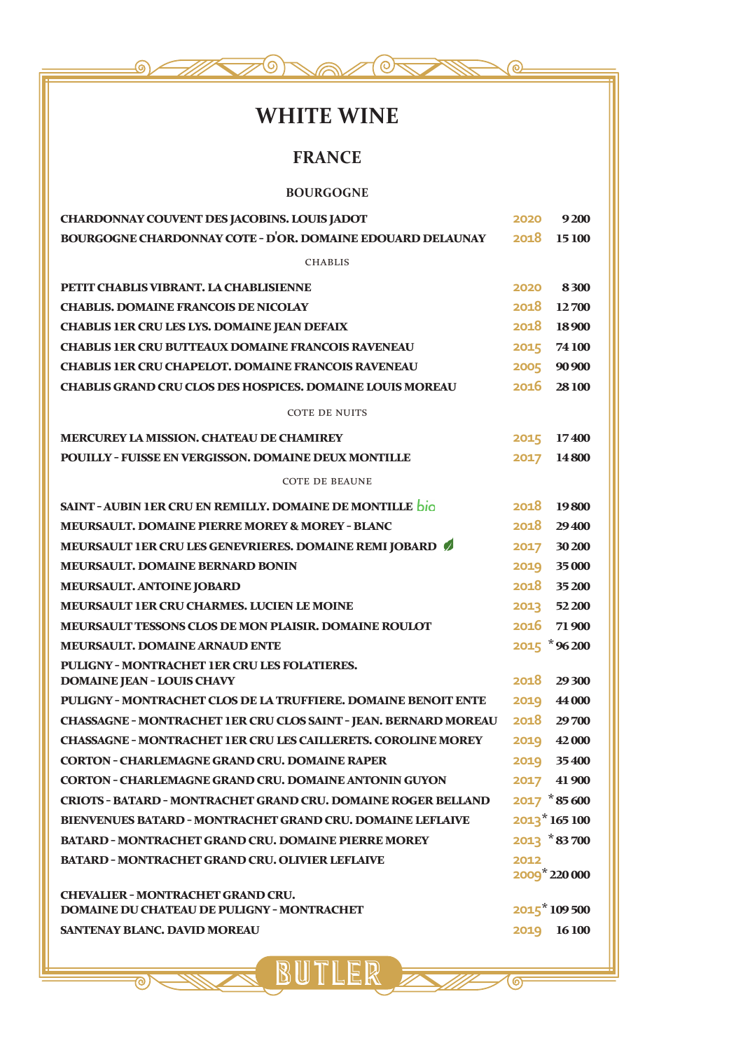# **WHITE WINE**

 $\overline{O}$ 

ര

 $\overline{\bullet}$ 

(ර)

### **FRANCE**

#### **BOURGOGNE**

| CHARDONNAY COUVENT DES JACOBINS. LOUIS JADOT                                           | 2020 | 9200            |
|----------------------------------------------------------------------------------------|------|-----------------|
| BOURGOGNE CHARDONNAY COTE - D'OR, DOMAINE EDOUARD DELAUNAY                             | 2018 | 15 100          |
| <b>CHABLIS</b>                                                                         |      |                 |
| PETIT CHABLIS VIBRANT. LA CHABLISIENNE                                                 | 2020 | 8300            |
| <b>CHABLIS. DOMAINE FRANCOIS DE NICOLAY</b>                                            | 2018 | 12700           |
| <b>CHABLIS 1ER CRU LES LYS. DOMAINE JEAN DEFAIX</b>                                    | 2018 | 18900           |
| <b>CHABLIS 1ER CRU BUTTEAUX DOMAINE FRANCOIS RAVENEAU</b>                              | 2015 | 74 100          |
| <b>CHABLIS 1ER CRU CHAPELOT, DOMAINE FRANCOIS RAVENEAU</b>                             |      | 2005 90 900     |
| <b>CHABLIS GRAND CRU CLOS DES HOSPICES, DOMAINE LOUIS MOREAU</b>                       | 2016 | 28100           |
| <b>COTE DE NUITS</b>                                                                   |      |                 |
| <b>MERCUREY LA MISSION. CHATEAU DE CHAMIREY</b>                                        | 2015 | 17400           |
| <b>POUILLY - FUISSE EN VERGISSON. DOMAINE DEUX MONTILLE</b>                            | 2017 | <b>14 800</b>   |
| <b>COTE DE BEAUNE</b>                                                                  |      |                 |
| <b>SAINT - AUBIN 1ER CRU EN REMILLY, DOMAINE DE MONTILLE pio</b>                       | 2018 | 19800           |
| <b>MEURSAULT. DOMAINE PIERRE MOREY &amp; MOREY - BLANC</b>                             | 2018 | 29400           |
| MEURSAULT 1ER CRU LES GENEVRIERES. DOMAINE REMI JOBARD                                 |      | 2017 30 200     |
| <b>MEURSAULT. DOMAINE BERNARD BONIN</b>                                                | 2019 | 35 000          |
| MEURSAULT. ANTOINE JOBARD                                                              |      | 2018 35 200     |
| MEURSAULT 1ER CRU CHARMES, LUCIEN LE MOINE                                             |      | 2013 52 200     |
| <b>MEURSAULT TESSONS CLOS DE MON PLAISIR. DOMAINE ROULOT</b>                           | 2016 | 71 900          |
| <b>MEURSAULT. DOMAINE ARNAUD ENTE</b>                                                  |      | $2015$ *96200   |
| PULIGNY - MONTRACHET 1ER CRU LES FOLATIERES.<br><b>DOMAINE JEAN - LOUIS CHAVY</b>      | 2018 | 29 300          |
| PULIGNY - MONTRACHET CLOS DE LA TRUFFIERE. DOMAINE BENOIT ENTE                         | 2019 | 44 000          |
| <b>CHASSAGNE - MONTRACHET 1ER CRU CLOS SAINT - JEAN. BERNARD MOREAU</b>                | 2018 | 29700           |
| <b>CHASSAGNE - MONTRACHET 1ER CRU LES CAILLERETS. COROLINE MOREY</b>                   |      | 2019 42000      |
| <b>CORTON - CHARLEMAGNE GRAND CRU. DOMAINE RAPER</b>                                   | 2019 | 35 400          |
| <b>CORTON - CHARLEMAGNE GRAND CRU. DOMAINE ANTONIN GUYON</b>                           |      | 2017 41 900     |
| <b>CRIOTS - BATARD - MONTRACHET GRAND CRU. DOMAINE ROGER BELLAND</b>                   |      | $2017 * 85600$  |
| <b>BIENVENUES BATARD - MONTRACHET GRAND CRU. DOMAINE LEFLAIVE</b>                      |      | $2013*165100$   |
| <b>BATARD - MONTRACHET GRAND CRU. DOMAINE PIERRE MOREY</b>                             |      | $2013$ $*83700$ |
| <b>BATARD - MONTRACHET GRAND CRU. OLIVIER LEFLAIVE</b>                                 | 2012 |                 |
|                                                                                        |      | 2009 220 000    |
| <b>CHEVALIER - MONTRACHET GRAND CRU.</b><br>DOMAINE DU CHATEAU DE PULIGNY - MONTRACHET |      | 2015*109500     |
| <b>SANTENAY BLANC. DAVID MOREAU</b>                                                    | 2019 | 16100           |
|                                                                                        |      |                 |

SUTLER E

<u> ನ</u>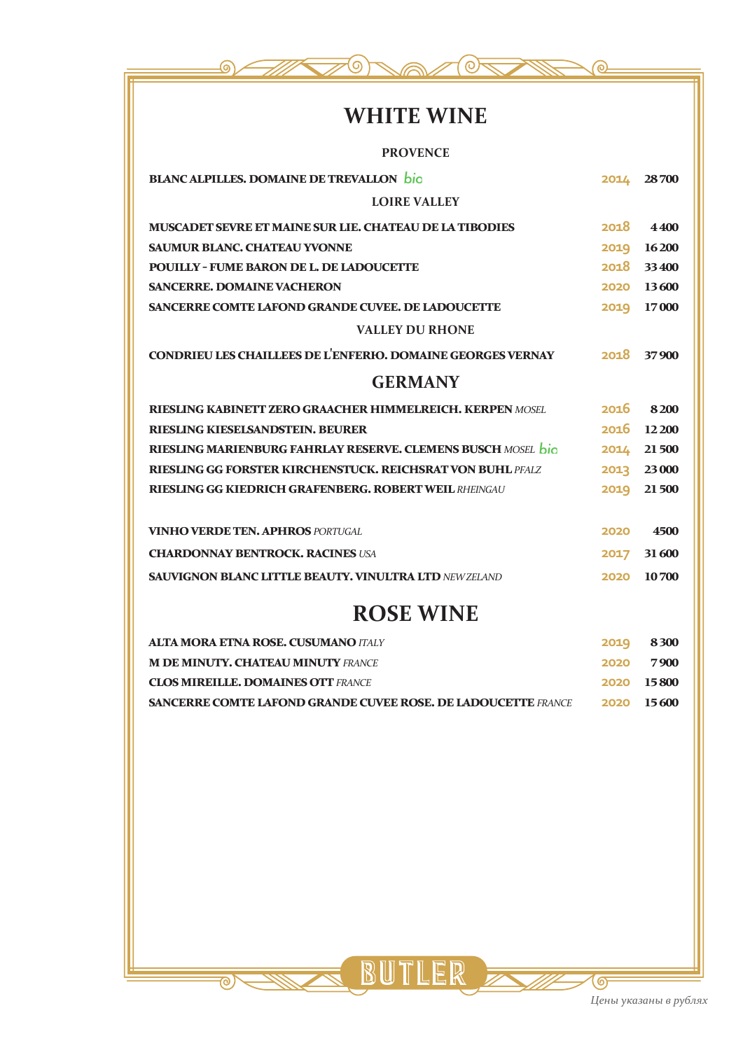

# **WHITE WINE**

| <b>PROVENCE</b>                                                    |      |        |
|--------------------------------------------------------------------|------|--------|
| <b>BLANC ALPILLES, DOMAINE DE TREVALLON</b> bio                    | 2014 | 28700  |
| <b>LOIRE VALLEY</b>                                                |      |        |
| <b>MUSCADET SEVRE ET MAINE SUR LIE. CHATEAU DE LA TIBODIES</b>     | 2018 | 4400   |
| <b>SAUMUR BLANC. CHATEAU YVONNE</b>                                | 2019 | 16200  |
| <b>POUILLY - FUME BARON DE L. DE LADOUCETTE</b>                    | 2018 | 33400  |
| <b>SANCERRE. DOMAINE VACHERON</b>                                  | 2020 | 13600  |
| SANCERRE COMTE LAFOND GRANDE CUVEE, DE LADOUCETTE                  | 2019 | 17000  |
| <b>VALLEY DU RHONE</b>                                             |      |        |
| <b>CONDRIEU LES CHAILLEES DE L'ENFERIO. DOMAINE GEORGES VERNAY</b> | 2018 | 37900  |
| <b>GERMANY</b>                                                     |      |        |
| <b>RIESLING KABINETT ZERO GRAACHER HIMMELREICH. KERPEN MOSEL</b>   | 2016 | 8200   |
| RIESLING KIESELSANDSTEIN, BEURER                                   | 2016 | 12 200 |
| RIESLING MARIENBURG FAHRLAY RESERVE. CLEMENS BUSCH MOSEL bio       | 2014 | 21 500 |
| <b>RIESLING GG FORSTER KIRCHENSTUCK. REICHSRAT VON BUHL PFALZ</b>  | 2013 | 23 000 |
| <b>RIESLING GG KIEDRICH GRAFENBERG, ROBERT WEIL RHEINGAU</b>       | 2019 | 21 500 |
|                                                                    |      |        |
| <b>VINHO VERDE TEN. APHROS PORTUGAL</b>                            | 2020 | 4500   |
| <b>CHARDONNAY BENTROCK. RACINES USA</b>                            | 2017 | 31600  |
| <b>SAUVIGNON BLANC LITTLE BEAUTY, VINULTRA LTD NEWZELAND</b>       | 2020 | 10700  |
|                                                                    |      |        |

# **ROSE WINE**

| <b>ALTA MORA ETNA ROSE, CUSUMANO ITALY</b>                           | 2019 8300         |
|----------------------------------------------------------------------|-------------------|
| <b>M DE MINUTY. CHATEAU MINUTY FRANCE</b>                            | 2020 7900         |
| <b>CLOS MIREILLE, DOMAINES OTT FRANCE</b>                            | <b>2020 15800</b> |
| <b>SANCERRE COMTE LAFOND GRANDE CUVEE ROSE. DE LADOUCETTE FRANCE</b> | 2020 15600        |

BUTLER E

 $\overline{\circ}$ 



கு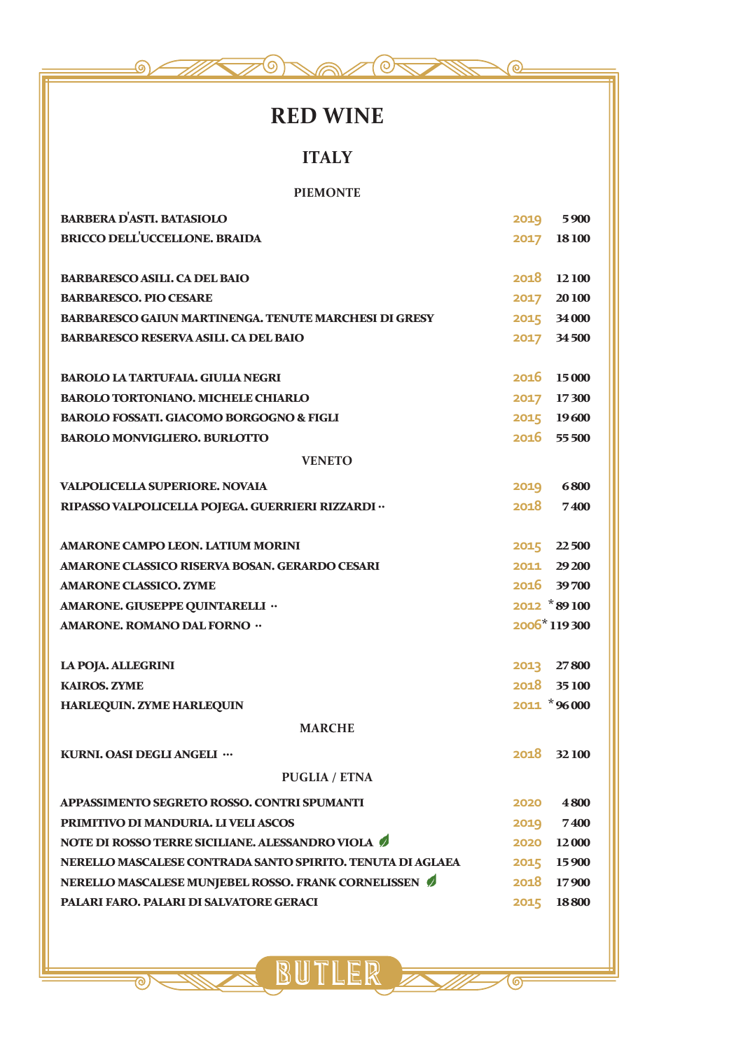

# **RED WINE**

### **ITALY**

#### **PIEMONTE**

| <b>BARBERA D'ASTI. BATASIOLO</b>                             |      | 2019 5900    |
|--------------------------------------------------------------|------|--------------|
| <b>BRICCO DELL'UCCELLONE, BRAIDA</b>                         |      | 2017 18100   |
|                                                              |      |              |
| <b>BARBARESCO ASILI. CA DEL BAIO</b>                         |      | 2018 12100   |
| <b>BARBARESCO, PIO CESARE</b>                                |      | 2017 20100   |
| <b>BARBARESCO GAIUN MARTINENGA. TENUTE MARCHESI DI GRESY</b> |      | 2015 34 000  |
| <b>BARBARESCO RESERVA ASILI. CA DEL BAIO</b>                 |      | 2017 34500   |
|                                                              |      |              |
| <b>BAROLO LA TARTUFAIA. GIULIA NEGRI</b>                     |      | 2016 15000   |
| <b>BAROLO TORTONIANO. MICHELE CHIARLO</b>                    |      | 2017 17300   |
| <b>BAROLO FOSSATI. GIACOMO BORGOGNO &amp; FIGLI</b>          |      | 2015 19600   |
| <b>BAROLO MONVIGLIERO. BURLOTTO</b>                          |      | 2016 55 500  |
| <b>VENETO</b>                                                |      |              |
| <b>VALPOLICELLA SUPERIORE. NOVAIA</b>                        |      | 2019 6800    |
| RIPASSO VALPOLICELLA POJEGA. GUERRIERI RIZZARDI ··           | 2018 | 7400         |
|                                                              |      |              |
| <b>AMARONE CAMPO LEON. LATIUM MORINI</b>                     |      | 2015 22500   |
| AMARONE CLASSICO RISERVA BOSAN, GERARDO CESARI               |      | 2011 29200   |
| <b>AMARONE CLASSICO. ZYME</b>                                |      | 2016 39700   |
| AMARONE. GIUSEPPE QUINTARELLI "                              |      | 2012 *89100  |
| AMARONE, ROMANO DAL FORNO "                                  |      | 2006*119300  |
|                                                              |      |              |
| <b>LA POJA. ALLEGRINI</b>                                    |      | 2013 27800   |
| <b>KAIROS. ZYME</b>                                          |      | 2018 35100   |
| HARLEQUIN. ZYME HARLEQUIN                                    |      | 2011 *96 000 |
| <b>MARCHE</b>                                                |      |              |
| KURNI. OASI DEGLI ANGELI                                     |      | 2018 32100   |
| <b>PUGLIA / ETNA</b>                                         |      |              |
| APPASSIMENTO SEGRETO ROSSO. CONTRI SPUMANTI                  | 2020 | 4800         |
| PRIMITIVO DI MANDURIA. LI VELI ASCOS                         | 2019 | 7400         |
| NOTE DI ROSSO TERRE SICILIANE. ALESSANDRO VIOLA              |      | 2020 12000   |
| NERELLO MASCALESE CONTRADA SANTO SPIRITO. TENUTA DI AGLAEA   |      | 2015 15900   |
| NERELLO MASCALESE MUNJEBEL ROSSO. FRANK CORNELISSEN          |      | 2018 17900   |
| PALARI FARO. PALARI DI SALVATORE GERACI                      |      | 2015 18800   |
|                                                              |      |              |

S BUTLER Z

 $\overline{\odot}$ 

ම)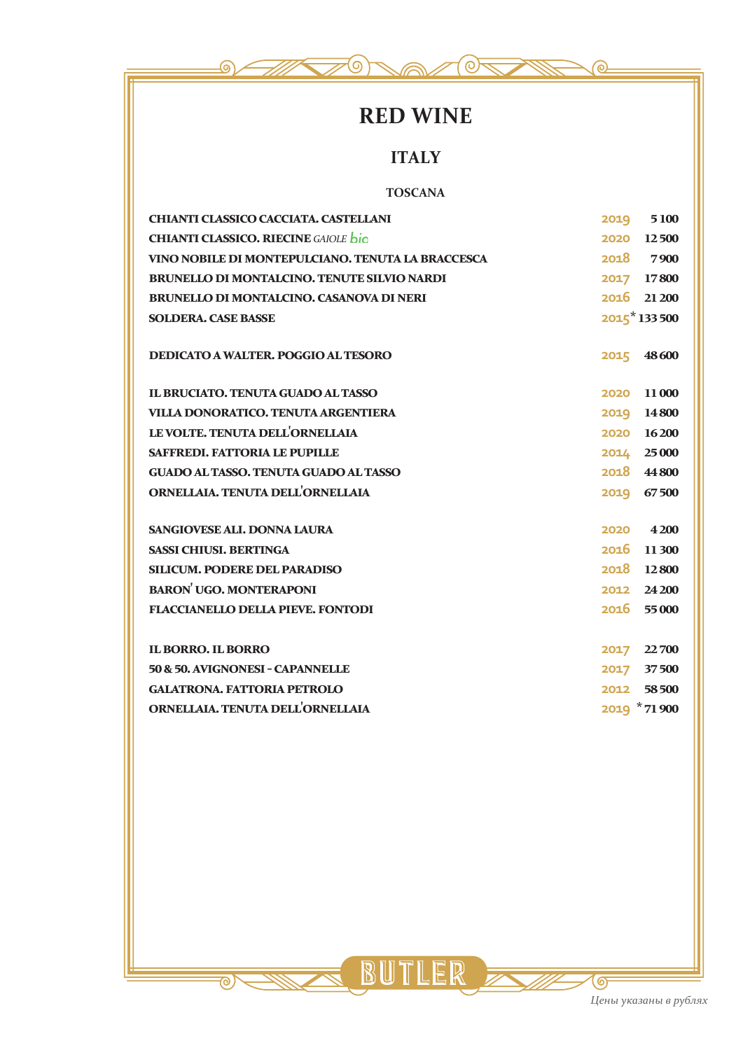

# **RED WINE**

## **ITALY**

#### **TOSCANA**

| CHIANTI CLASSICO CACCIATA, CASTELLANI              | 2019 5100     |
|----------------------------------------------------|---------------|
| <b>CHIANTI CLASSICO. RIECINE GAIOLE bio</b>        | 2020 12500    |
| VINO NOBILE DI MONTEPULCIANO. TENUTA LA BRACCESCA  | 2018 7900     |
| <b>BRUNELLO DI MONTALCINO. TENUTE SILVIO NARDI</b> | 2017 17800    |
| <b>BRUNELLO DI MONTALCINO. CASANOVA DI NERI</b>    | 2016 21 200   |
| <b>SOLDERA. CASE BASSE</b>                         | $2015*133500$ |
| <b>DEDICATO A WALTER. POGGIO AL TESORO</b>         | 2015 48600    |
| <b>IL BRUCIATO. TENUTA GUADO AL TASSO</b>          | 2020 11 000   |
| VILLA DONORATICO. TENUTA ARGENTIERA                | 2019 14 800   |
| LE VOLTE. TENUTA DELL'ORNELLAIA                    | 2020 16200    |
| <b>SAFFREDI. FATTORIA LE PUPILLE</b>               | 2014 25 000   |
| <b>GUADO AL TASSO. TENUTA GUADO AL TASSO</b>       | 2018 44 800   |
| ORNELLAIA, TENUTA DELL'ORNELLAIA                   | 2019 67500    |
| <b>SANGIOVESE ALI. DONNA LAURA</b>                 | 2020 4200     |
| <b>SASSI CHIUSI. BERTINGA</b>                      | 2016 11300    |
| <b>SILICUM. PODERE DEL PARADISO</b>                | 2018 12800    |
| <b>BARON UGO. MONTERAPONI</b>                      | 2012 24 200   |
| <b>FLACCIANELLO DELLA PIEVE. FONTODI</b>           | 2016 55000    |
|                                                    |               |
| <b>IL BORRO. IL BORRO</b>                          | 2017 22700    |
| 50 & 50. AVIGNONESI - CAPANNELLE                   | 2017 37500    |
| <b>GALATRONA. FATTORIA PETROLO</b>                 | 2012 58500    |
| ORNELLAIA, TENUTA DELL'ORNELLAIA                   | 2019 *71 900  |

SUTLER E

<u>ಾ</u>

 $\overline{\odot}$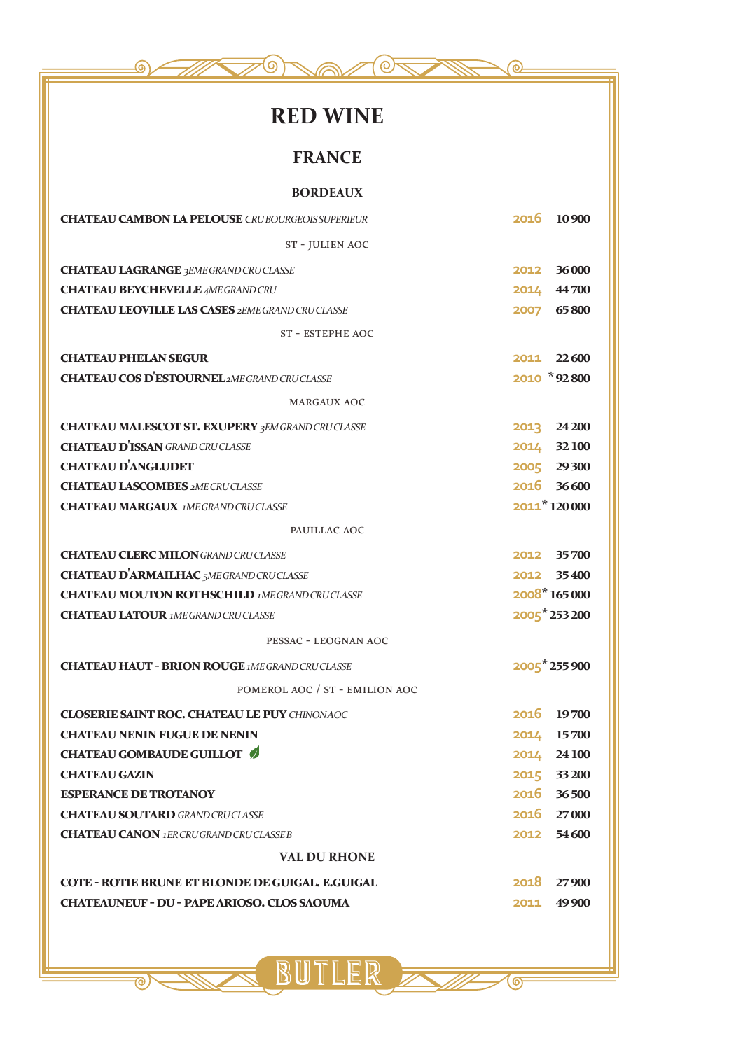| <b>RED WINE</b>                                                                                   |      |                          |
|---------------------------------------------------------------------------------------------------|------|--------------------------|
| <b>FRANCE</b>                                                                                     |      |                          |
| <b>BORDEAUX</b>                                                                                   |      |                          |
| <b>CHATEAU CAMBON LA PELOUSE</b> CRUBOURGEOIS SUPERIEUR                                           | 2016 | 10 900                   |
| ST - JULIEN AOC                                                                                   |      |                          |
| <b>CHATEAU LAGRANGE 3EME GRAND CRUCLASSE</b>                                                      | 2012 | 36 000                   |
| <b>CHATEAU BEYCHEVELLE 4ME GRAND CRU</b>                                                          | 2014 | 44 700                   |
| <b>CHATEAU LEOVILLE LAS CASES 2EME GRAND CRUCLASSE</b>                                            | 2007 | 65800                    |
| <b>ST - ESTEPHE AOC</b>                                                                           |      |                          |
| <b>CHATEAU PHELAN SEGUR</b>                                                                       | 2011 | 22600                    |
| <b>CHATEAU COS D'ESTOURNEL</b> 2ME GRAND CRUCLASSE                                                |      | 2010 *92800              |
| <b>MARGAUX AOC</b>                                                                                |      |                          |
|                                                                                                   |      |                          |
| <b>CHATEAU MALESCOT ST. EXUPERY 3EM GRAND CRUCLASSE</b><br><b>CHATEAU D'ISSAN</b> GRAND CRUCLASSE | 2013 | 24 200                   |
| <b>CHATEAU D'ANGLUDET</b>                                                                         | 2014 | 32100                    |
| <b>CHATEAU LASCOMBES 2ME CRUCLASSE</b>                                                            |      | 2005 29300<br>2016 36600 |
| <b>CHATEAU MARGAUX 1MEGRAND CRUCLASSE</b>                                                         |      | 2011*120 000             |
| PAUILLAC AOC                                                                                      |      |                          |
| <b>CHATEAU CLERC MILON GRAND CRUCLASSE</b>                                                        | 2012 | 35700                    |
| <b>CHATEAU D'ARMAILHAC</b> 5ME GRAND CRUCLASSE                                                    |      | 2012 35400               |
| <b>CHATEAU MOUTON ROTHSCHILD 1MEGRAND CRUCLASSE</b>                                               |      | 2008*165000              |
| <b>CHATEAU LATOUR</b> 1MEGRAND CRUCLASSE                                                          |      | 2005 253 200             |
| PESSAC - LEOGNAN AOC                                                                              |      |                          |
| <b>CHATEAU HAUT - BRION ROUGE IMEGRAND CRUCLASSE</b>                                              |      | 2005 255 900             |
| POMEROL AOC / ST - EMILION AOC                                                                    |      |                          |
| <b>CLOSERIE SAINT ROC. CHATEAU LE PUY CHINONAOC</b>                                               |      | 2016 19700               |
| <b>CHATEAU NENIN FUGUE DE NENIN</b>                                                               |      | 2014 15700               |
| <b>CHATEAU GOMBAUDE GUILLOT</b>                                                                   |      | 2014 24 100              |
| <b>CHATEAU GAZIN</b>                                                                              |      | 2015 33 200              |
| <b>ESPERANCE DE TROTANOY</b>                                                                      |      | 2016 36500               |
| <b>CHATEAU SOUTARD GRAND CRUCLASSE</b>                                                            |      | 2016 27000               |
| <b>CHATEAU CANON</b> 1ER CRUGRAND CRUCLASSE B                                                     |      | 2012 54600               |
| <b>VAL DU RHONE</b>                                                                               |      |                          |
| COTE - ROTIE BRUNE ET BLONDE DE GUIGAL. E.GUIGAL                                                  |      | 2018 27900               |
| <b>CHATEAUNEUF - DU - PAPE ARIOSO. CLOS SAOUMA</b>                                                | 2011 | 49900                    |
|                                                                                                   |      |                          |

SUTLER F

 $\overline{\textcircled{\circ}}$ 

 $\overline{\circ}$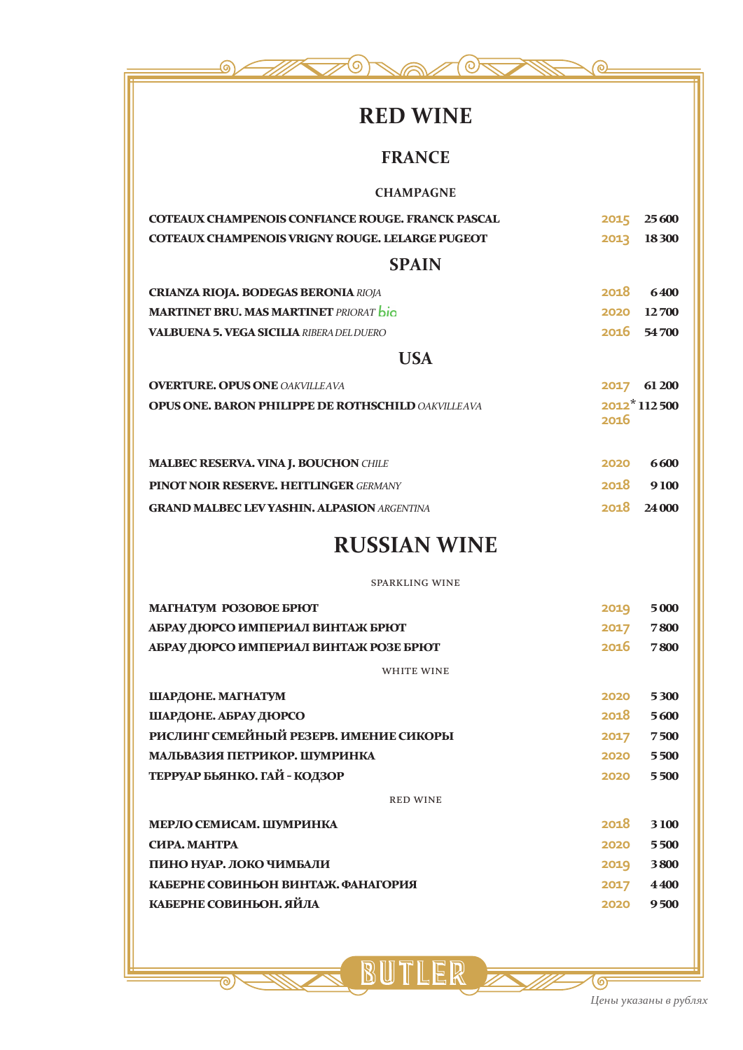# **RED WINE**

 $\odot$ 

ദ

### **FRANCE**

#### **CHAMPAGNE**

| <b>COTEAUX CHAMPENOIS CONFIANCE ROUGE. FRANCK PASCAL</b> | 2015 25 600 |  |
|----------------------------------------------------------|-------------|--|
| <b>COTEAUX CHAMPENOIS VRIGNY ROUGE. LELARGE PUGEOT</b>   | 2013 18300  |  |

#### **SPAIN**

| <b>CRIANZA RIOJA, BODEGAS BERONIA RIOJA</b>          | 2018 6400  |
|------------------------------------------------------|------------|
| <b>MARTINET BRU. MAS MARTINET</b> PRIORAT <b>bio</b> | 2020 12700 |
| <b>VALBUENA 5. VEGA SICILIA</b> RIBERA DEL DUERO     | 2016 54700 |
| USA                                                  |            |

| <b>OVERTURE. OPUS ONE OAKVILLEAVA</b>                     | 2017 61 200   |  |
|-----------------------------------------------------------|---------------|--|
| <b>OPUS ONE. BARON PHILIPPE DE ROTHSCHILD OAKVILLEAVA</b> | $2012*112500$ |  |
|                                                           | -2016         |  |

| <b>MALBEC RESERVA. VINA J. BOUCHON CHILE</b>       | 2020 | -6600       |
|----------------------------------------------------|------|-------------|
| <b>PINOT NOIR RESERVE, HEITLINGER GERMANY</b>      |      | 2018 9100   |
| <b>GRAND MALBEC LEV YASHIN. ALPASION ARGENTINA</b> |      | 2018 24 000 |

# **RUSSIAN WINE**

SPARKLING WINE

| <b>MATHATYM PO3OBOE БРЮТ</b>           | 2019 | 5000 |
|----------------------------------------|------|------|
| АБРАУ ДЮРСО ИМПЕРИАЛ ВИНТАЖ БРЮТ       | 2017 | 7800 |
| АБРАУ ДЮРСО ИМПЕРИАЛ ВИНТАЖ РОЗЕ БРЮТ  | 2016 | 7800 |
| <b>WHITE WINE</b>                      |      |      |
| ШАРДОНЕ. МАГНАТУМ                      | 2020 | 5300 |
| ШАРДОНЕ. АБРАУ ДЮРСО                   | 2018 | 5600 |
| РИСЛИНГ СЕМЕЙНЫЙ РЕЗЕРВ. ИМЕНИЕ СИКОРЫ | 2017 | 7500 |
| МАЛЬВАЗИЯ ПЕТРИКОР. ШУМРИНКА           | 2020 | 5500 |
| ТЕРРУАР БЬЯНКО. ГАЙ - КОДЗОР           | 2020 | 5500 |
| <b>RED WINE</b>                        |      |      |
| МЕРЛО СЕМИСАМ, ШУМРИНКА                | 2018 | 3100 |
| СИРА. МАНТРА                           | 2020 | 5500 |
| ПИНО НУАР. ЛОКО ЧИМБАЛИ                | 2019 | 3800 |
| КАБЕРНЕ СОВИНЬОН ВИНТАЖ. ФАНАГОРИЯ     | 2017 | 4400 |
| КАБЕРНЕ СОВИНЬОН. ЯЙЛА                 | 2020 | 9500 |
|                                        |      |      |

BUTLER

<u>ल</u>

ஏ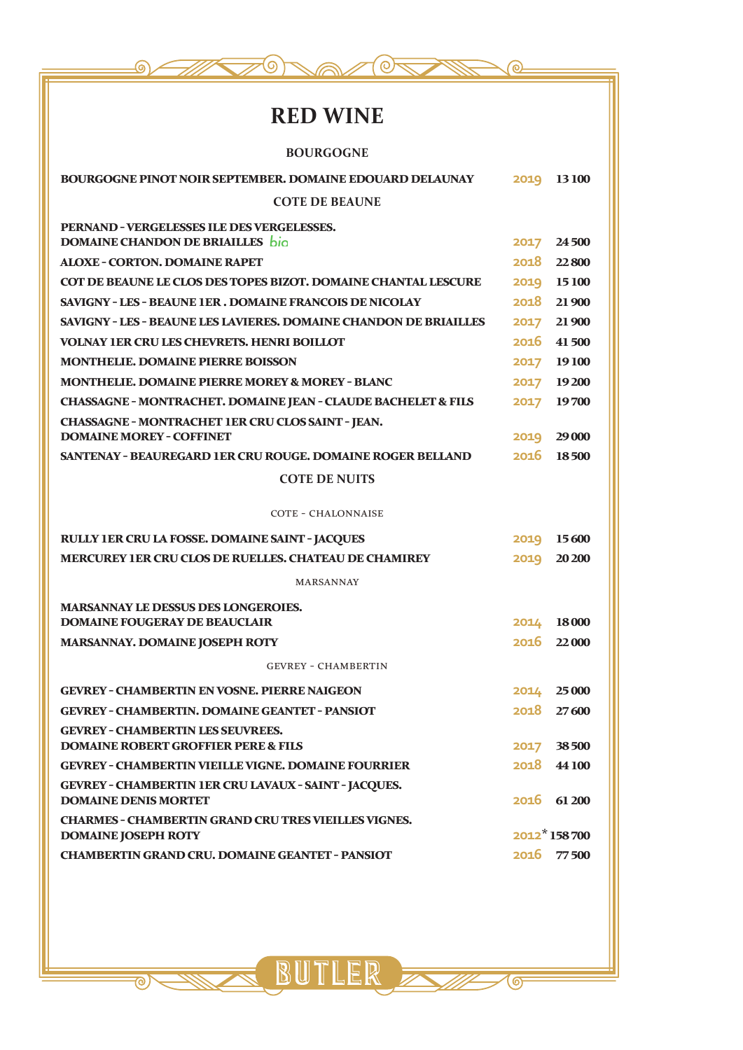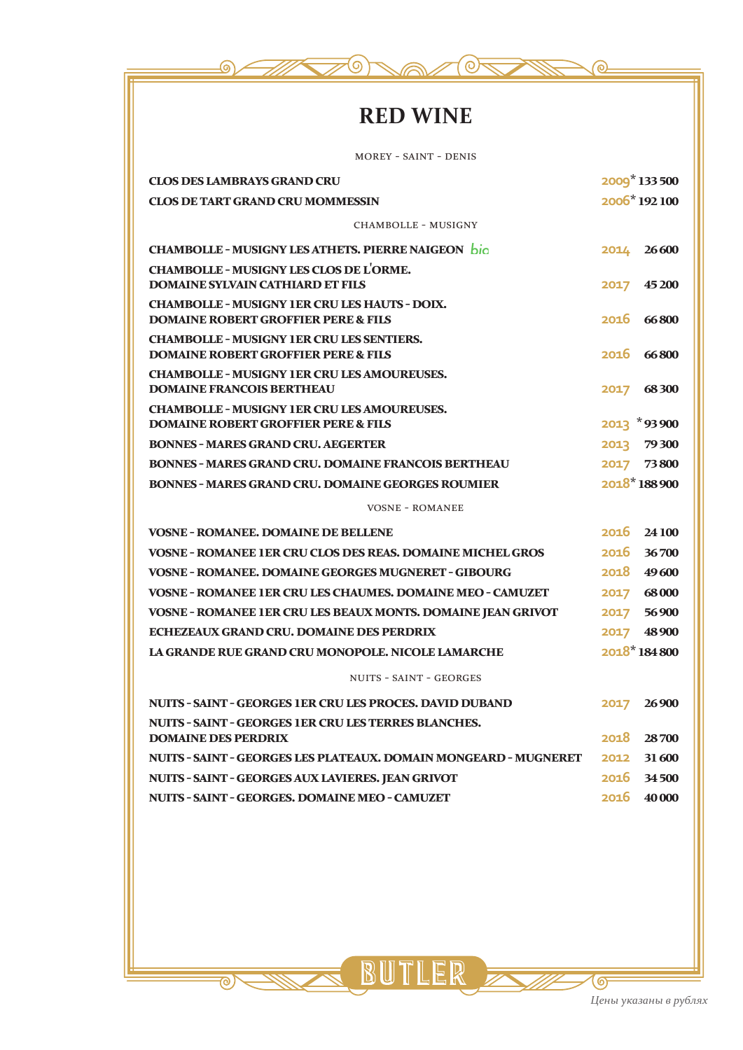

# **RED WINE**

| <b>MOREY - SAINT - DENIS</b>                                                                           |      |                           |
|--------------------------------------------------------------------------------------------------------|------|---------------------------|
| <b>CLOS DES LAMBRAYS GRAND CRU</b>                                                                     |      | 2009 <sup>*</sup> 133 500 |
| <b>CLOS DE TART GRAND CRU MOMMESSIN</b>                                                                |      | 2006*192100               |
| <b>CHAMBOLLE - MUSIGNY</b>                                                                             |      |                           |
| <b>CHAMBOLLE - MUSIGNY LES ATHETS. PIERRE NAIGEON bio</b>                                              | 2014 | 26600                     |
| <b>CHAMBOLLE - MUSIGNY LES CLOS DE L'ORME.</b><br><b>DOMAINE SYLVAIN CATHIARD ET FILS</b>              | 2017 | 45 200                    |
| <b>CHAMBOLLE - MUSIGNY 1ER CRU LES HAUTS - DOIX.</b><br><b>DOMAINE ROBERT GROFFIER PERE &amp; FILS</b> |      | 2016 66800                |
| <b>CHAMBOLLE - MUSIGNY 1ER CRU LES SENTIERS.</b><br><b>DOMAINE ROBERT GROFFIER PERE &amp; FILS</b>     | 2016 | 66800                     |
| <b>CHAMBOLLE - MUSIGNY 1ER CRU LES AMOUREUSES.</b><br><b>DOMAINE FRANCOIS BERTHEAU</b>                 | 2017 | 68300                     |
| <b>CHAMBOLLE - MUSIGNY 1ER CRU LES AMOUREUSES.</b><br><b>DOMAINE ROBERT GROFFIER PERE &amp; FILS</b>   |      | 2013 *93900               |
| <b>BONNES - MARES GRAND CRU. AEGERTER</b>                                                              | 2013 | 79 300                    |
| <b>BONNES - MARES GRAND CRU. DOMAINE FRANCOIS BERTHEAU</b>                                             |      | 2017 73800                |
| <b>BONNES - MARES GRAND CRU. DOMAINE GEORGES ROUMIER</b>                                               |      | 2018*188900               |
| <b>VOSNE - ROMANEE</b>                                                                                 |      |                           |
| <b>VOSNE - ROMANEE, DOMAINE DE BELLENE</b>                                                             | 2016 | 24 100                    |
| <b>VOSNE - ROMANEE 1ER CRU CLOS DES REAS. DOMAINE MICHEL GROS</b>                                      |      | 2016 36700                |
| <b>VOSNE - ROMANEE, DOMAINE GEORGES MUGNERET - GIBOURG</b>                                             | 2018 | 49600                     |
| <b>VOSNE - ROMANEE 1ER CRU LES CHAUMES. DOMAINE MEO - CAMUZET</b>                                      | 2017 | 68000                     |
| VOSNE - ROMANEE 1ER CRU LES BEAUX MONTS. DOMAINE JEAN GRIVOT                                           |      | 2017 56900                |
| ECHEZEAUX GRAND CRU. DOMAINE DES PERDRIX                                                               | 2017 | 48900                     |
| LA GRANDE RUE GRAND CRU MONOPOLE. NICOLE LAMARCHE                                                      |      | $2018*184800$             |
| <b>NUITS - SAINT - GEORGES</b>                                                                         |      |                           |
| NUITS - SAINT - GEORGES 1ER CRU LES PROCES, DAVID DUBAND                                               | 2017 | 26900                     |
| <b>NUITS - SAINT - GEORGES 1ER CRU LES TERRES BLANCHES.</b><br><b>DOMAINE DES PERDRIX</b>              | 2018 | 28700                     |
| NUITS - SAINT - GEORGES LES PLATEAUX. DOMAIN MONGEARD - MUGNERET                                       | 2012 | 31 600                    |
| NUITS - SAINT - GEORGES AUX LAVIERES. JEAN GRIVOT                                                      |      | 2016 34500                |
| NUITS - SAINT - GEORGES. DOMAINE MEO - CAMUZET                                                         | 2016 | 40 000                    |

<u>< BUTLER =</u>

 $\overline{\mathbf{e}}$ 

ஔ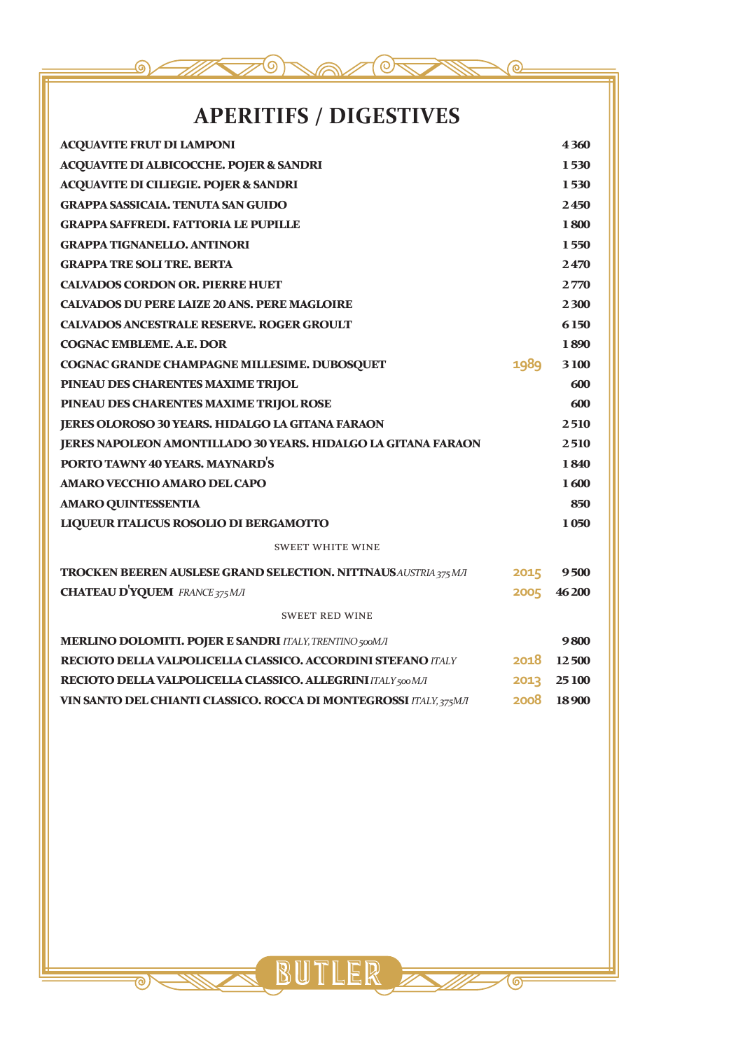

# **APERITIFS / DIGESTIVES**

| <b>ACQUAVITE FRUT DI LAMPONI</b>                                        |      | 4360   |
|-------------------------------------------------------------------------|------|--------|
| <b>ACQUAVITE DI ALBICOCCHE. POJER &amp; SANDRI</b>                      |      | 1530   |
| <b>ACQUAVITE DI CILIEGIE. POJER &amp; SANDRI</b>                        |      | 1530   |
| <b>GRAPPA SASSICAIA, TENUTA SAN GUIDO</b>                               |      | 2450   |
| <b>GRAPPA SAFFREDI. FATTORIA LE PUPILLE</b>                             |      | 1800   |
| <b>GRAPPA TIGNANELLO. ANTINORI</b>                                      |      | 1550   |
| <b>GRAPPA TRE SOLI TRE, BERTA</b>                                       |      | 2470   |
| <b>CALVADOS CORDON OR. PIERRE HUET</b>                                  |      | 2770   |
| <b>CALVADOS DU PERE LAIZE 20 ANS. PERE MAGLOIRE</b>                     |      | 2300   |
| <b>CALVADOS ANCESTRALE RESERVE. ROGER GROULT</b>                        |      | 6150   |
| <b>COGNAC EMBLEME, A.E. DOR</b>                                         |      | 1890   |
| COGNAC GRANDE CHAMPAGNE MILLESIME. DUBOSQUET                            | 1989 | 3100   |
| PINEAU DES CHARENTES MAXIME TRIJOL                                      |      | 600    |
| PINEAU DES CHARENTES MAXIME TRIJOL ROSE                                 |      | 600    |
| JERES OLOROSO 30 YEARS. HIDALGO LA GITANA FARAON                        |      | 2510   |
| JERES NAPOLEON AMONTILIADO 30 YEARS. HIDALGO LA GITANA FARAON           |      | 2510   |
| PORTO TAWNY 40 YEARS. MAYNARD'S                                         |      | 1840   |
| <b>AMARO VECCHIO AMARO DEL CAPO</b>                                     |      | 1600   |
| <b>AMARO QUINTESSENTIA</b>                                              |      | 850    |
| LIQUEUR ITALICUS ROSOLIO DI BERGAMOTTO                                  |      | 1050   |
| <b>SWEET WHITE WINE</b>                                                 |      |        |
| <b>TROCKEN BEEREN AUSLESE GRAND SELECTION. NITTNAUS AUSTRIA 375 MJI</b> | 2015 | 9500   |
| <b>CHATEAU D'YQUEM</b> FRANCE 375 MJI                                   | 2005 | 46 200 |
| <b>SWEET RED WINE</b>                                                   |      |        |
| <b>MERLINO DOLOMITI. POJER E SANDRI ITALY, TRENTINO 500MJI</b>          |      | 9800   |
| RECIOTO DELLA VALPOLICELLA CLASSICO. ACCORDINI STEFANO ITALY            | 2018 | 12500  |
| RECIOTO DELLA VALPOLICELLA CLASSICO. ALLEGRINI ITALY 500 M/I            | 2013 | 25 100 |
| VIN SANTO DEL CHIANTI CLASSICO. ROCCA DI MONTEGROSSI ITALY, 375MJ       | 2008 | 18900  |

BUT .ER

 $\odot$ 

 $\overline{\mathbf{e}}$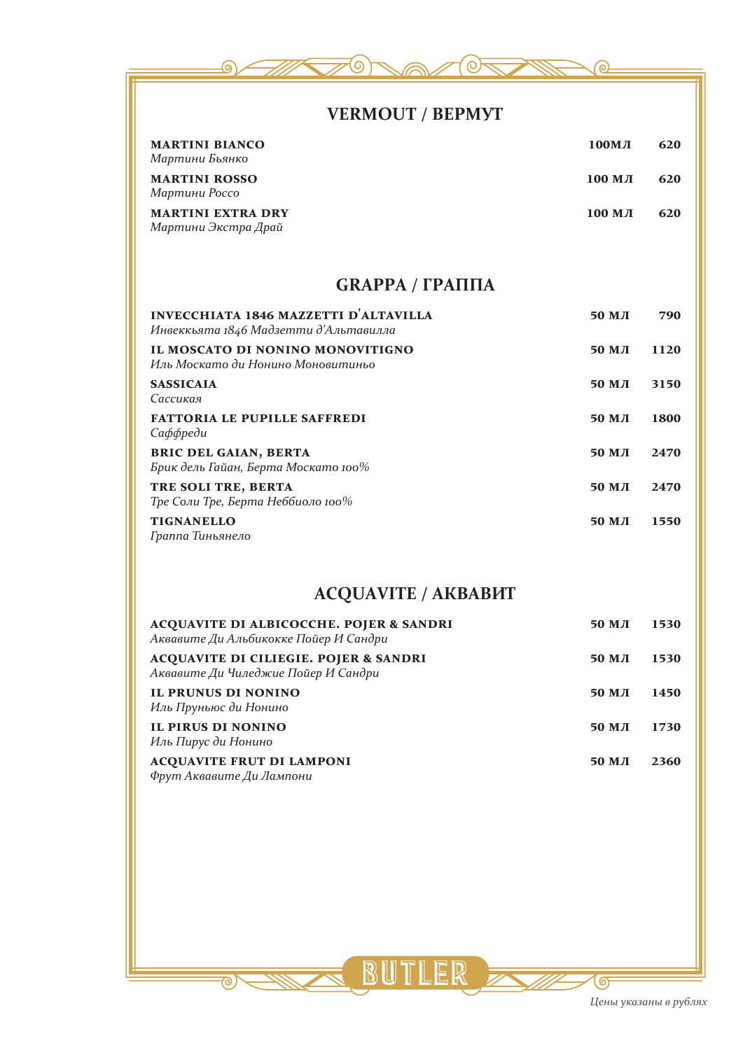

### **VERMOUT / ВЕРМУТ**

| <b>MARTINI BIANCO</b><br>Мартини Бьянко         | 100MJ    | 620 |
|-------------------------------------------------|----------|-----|
| <b>MARTINI ROSSO</b><br>Мартини Россо           | $100$ МЛ | 620 |
| <b>MARTINI EXTRA DRY</b><br>Мартини Экстра Драй | 100 мл   | 620 |

### **GRAPPA / ГРАППА**

| <b>INVECCHIATA 1846 MAZZETTI D'ALTAVILLA</b><br>Инвеккьята 1846 Мадзетти д'Альтавилла | $50$ M $\pi$ | 790  |
|---------------------------------------------------------------------------------------|--------------|------|
| IL MOSCATO DI NONINO MONOVITIGNO<br>Иль Москато ди Нонино Моновитиньо                 | 50 MJ        | 1120 |
| <b>SASSICAIA</b><br>Сассикая                                                          | 50 MJ        | 3150 |
| <b>FATTORIA LE PUPILLE SAFFREDI</b><br>Саффреди                                       | 50 MJ        | 1800 |
| <b>BRIC DEL GAIAN, BERTA</b><br>Брик дель Гайан, Берта Москато 100%                   | $50$ M $\pi$ | 2470 |
| TRE SOLI TRE, BERTA<br>Тре Соли Тре, Берта Неббиоло 100%                              | 50 MJ        | 2470 |
| <b>TIGNANELLO</b><br>Граппа Тиньянело                                                 | $50$ M $\pi$ | 1550 |

## **ACQUAVITE / АКВАВИТ**

| <b>ACQUAVITE DI ALBICOCCHE. POJER &amp; SANDRI</b><br>Аквавите Ди Альбикокке Пойер И Сандри | 50 MJ           | 1530 |
|---------------------------------------------------------------------------------------------|-----------------|------|
| <b>ACQUAVITE DI CILIEGIE. POJER &amp; SANDRI</b><br>Аквавите Ди Чиледжие Пойер И Сандри     | 50 M <i>J</i> I | 1530 |
| <b>IL PRUNUS DI NONINO</b><br>Иль Пруньюс ди Нонино                                         | 50 M <i>J</i> I | 1450 |
| IL PIRUS DI NONINO<br>Иль Пирус ди Нонино                                                   | 50 M <i>J</i> I | 1730 |
| <b>ACQUAVITE FRUT DI LAMPONI</b><br>Фрут Аквавите Ди Лампони                                | 50 M <i>J</i> I | 2360 |

BUTLER

 $\overline{\circ}$ 

த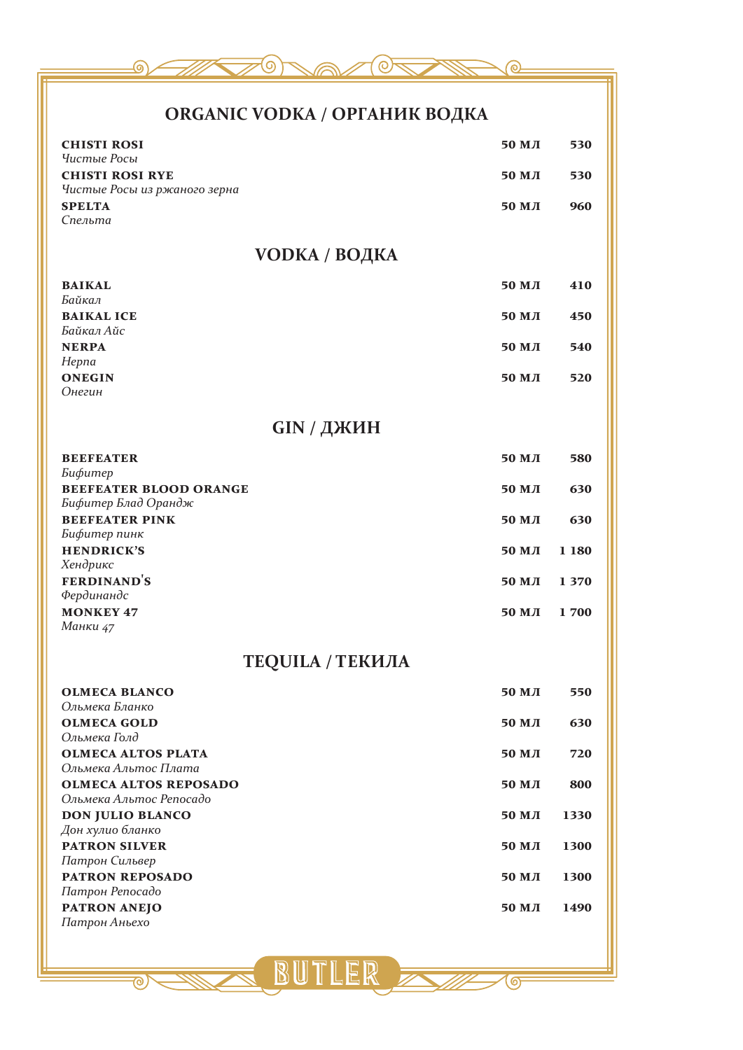

## **ORGANIC VODKA / ОРГАНИК ВОДКА**

| <b>CHISTI ROSI</b>                                                    | 50 MJI          | 530         |
|-----------------------------------------------------------------------|-----------------|-------------|
| Чистые Росы<br><b>CHISTI ROSI RYE</b><br>Чистые Росы из ржаного зерна | 50 MJI          | 530         |
| <b>SPELTA</b><br>Спельта                                              | 50 M <i>J</i> I | 960         |
| <b>VODKA / ВОДКА</b>                                                  |                 |             |
| <b>BAIKAL</b>                                                         | 50 MJI          | 410         |
| Байкал<br><b>BAIKAL ICE</b><br>Байкал Айс                             | 50 MJI          | 450         |
| <b>NERPA</b>                                                          | 50 MJI          | 540         |
| Hepna<br><b>ONEGIN</b>                                                | 50 M <i>J</i> I | 520         |
| Онегин                                                                |                 |             |
| GIN / ДЖИН                                                            |                 |             |
| <b>BEEFEATER</b>                                                      | 50 MJI          | 580         |
| Бифитер<br>BEEFEATER BLOOD ORANGE                                     | 50 MJI          | 630         |
| Бифитер Блад Орандж<br><b>BEEFEATER PINK</b>                          | 50 M <i>J</i> I | 630         |
| Бифитер пинк                                                          |                 |             |
| <b>HENDRICK'S</b><br>Хендрикс                                         | 50 MJI          | 1 1 8 0     |
| <b>FERDINAND'S</b>                                                    | 50 MJI          | 1 3 7 0     |
| Фердинандс<br><b>MONKEY 47</b>                                        | 50 MJI          | 1700        |
| Манки 47                                                              |                 |             |
| <b>TEQUILA / ТЕКИЛА</b>                                               |                 |             |
| <b>OLMECA BLANCO</b>                                                  | <b>50 МЛ</b>    | 550         |
| Ольмека Бланко<br><b>OLMECA GOLD</b>                                  | <b>50 МЛ</b>    | 630         |
| Ольмека Голд                                                          |                 |             |
| <b>OLMECA ALTOS PLATA</b><br>Ольмека Альтос Плата                     | 50 MJI          | 720         |
| <b>OLMECA ALTOS REPOSADO</b>                                          | <b>50 МЛ</b>    | 800         |
| Ольмека Альтос Репосадо<br>DON JULIO BLANCO                           | 50 MJI          | 1330        |
| Дон хулио бланко                                                      |                 |             |
| <b>PATRON SILVER</b><br>Патрон Сильвер                                | <b>50 МЛ</b>    | 1300        |
| PATRON REPOSADO                                                       | <b>50 МЛ</b>    | <b>1300</b> |
| Патрон Репосадо<br>PATRON ANEJO                                       | <b>50 МЛ</b>    | 1490        |
| Патрон Аньехо                                                         |                 |             |
|                                                                       |                 |             |

S BUTLER

கு

<u>ত্</u>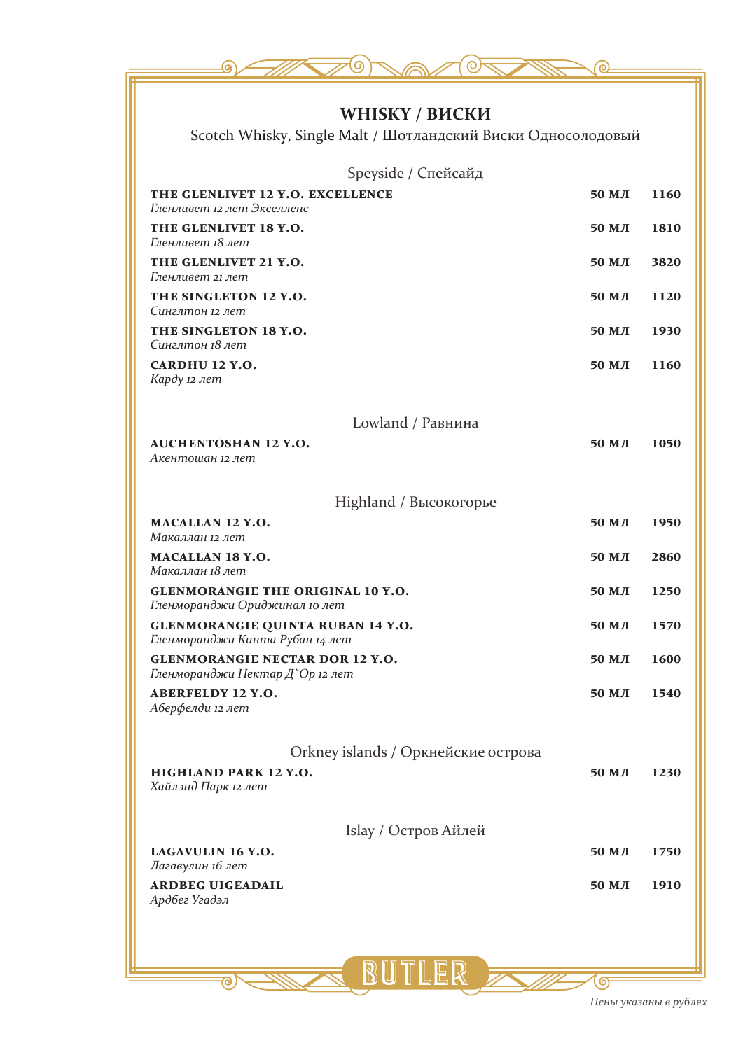| WHISKY / ВИСКИ<br>Scotch Whisky, Single Malt / Шотландский Виски Односолодовый |                 |      |
|--------------------------------------------------------------------------------|-----------------|------|
|                                                                                |                 |      |
| Speyside / Спейсайд                                                            |                 |      |
| THE GLENLIVET 12 Y.O. EXCELLENCE<br>Гленливет 12 лет Экселленс                 | 50 MJI          | 1160 |
| THE GLENLIVET 18 Y.O.<br>Гленливет 18 лет                                      | 50 MJI          | 1810 |
| THE GLENLIVET 21 Y.O.<br>Гленливет 21 лет                                      | 50 MJI          | 3820 |
| THE SINGLETON 12 Y.O.<br>Синглтон 12 лет                                       | 50 мл           | 1120 |
| THE SINGLETON 18 Y.O.<br>Синглтон 18 лет                                       | 50 M <i>J</i> I | 1930 |
| CARDHU 12 Y.O.<br>Карду 12 лет                                                 | 50 MJI          | 1160 |
| Lowland / Равнина                                                              |                 |      |
| <b>AUCHENTOSHAN 12 Y.O.</b><br>Акентошан 12 лет                                | 50 MJI          | 1050 |
| Highland / Высокогорье                                                         |                 |      |
| <b>MACALLAN 12 Y.O.</b><br>Макаллан 12 лет                                     | 50 MJI          | 1950 |
| <b>MACALLAN 18 Y.O.</b><br>Макаллан 18 лет                                     | 50 MJI          | 2860 |
| <b>GLENMORANGIE THE ORIGINAL 10 Y.O.</b><br>Гленморанджи Ориджинал 10 лет      | 50 MJI          | 1250 |
| GLENMORANGIE QUINTA RUBAN 14 Y.O.<br>Гленморанджи Кинта Рубан 14 лет           | 50 MJI          | 1570 |
| <b>GLENMORANGIE NECTAR DOR 12 Y.O.</b><br>Гленморанджи Нектар Д`Ор 12 лет      | 50 мл           | 1600 |
| <b>ABERFELDY 12 Y.O.</b><br>Аберфелди 12 лет                                   | 50 M J          | 1540 |
| Orkney islands / Оркнейские острова                                            |                 |      |
| HIGHLAND PARK 12 Y.O.<br>Хайлэнд Парк 12 лет                                   | 50 MJI          | 1230 |
| Islay / Остров Айлей                                                           |                 |      |
| LAGAVULIN 16 Y.O.<br>Лагавулин 16 лет                                          | <b>50 МЛ</b>    | 1750 |
| <b>ARDBEG UIGEADAIL</b><br>Ардбег Угадэл                                       | 50 MJI          | 1910 |
|                                                                                |                 |      |
|                                                                                |                 |      |
| <b>BUTLER ANTI-10</b>                                                          |                 |      |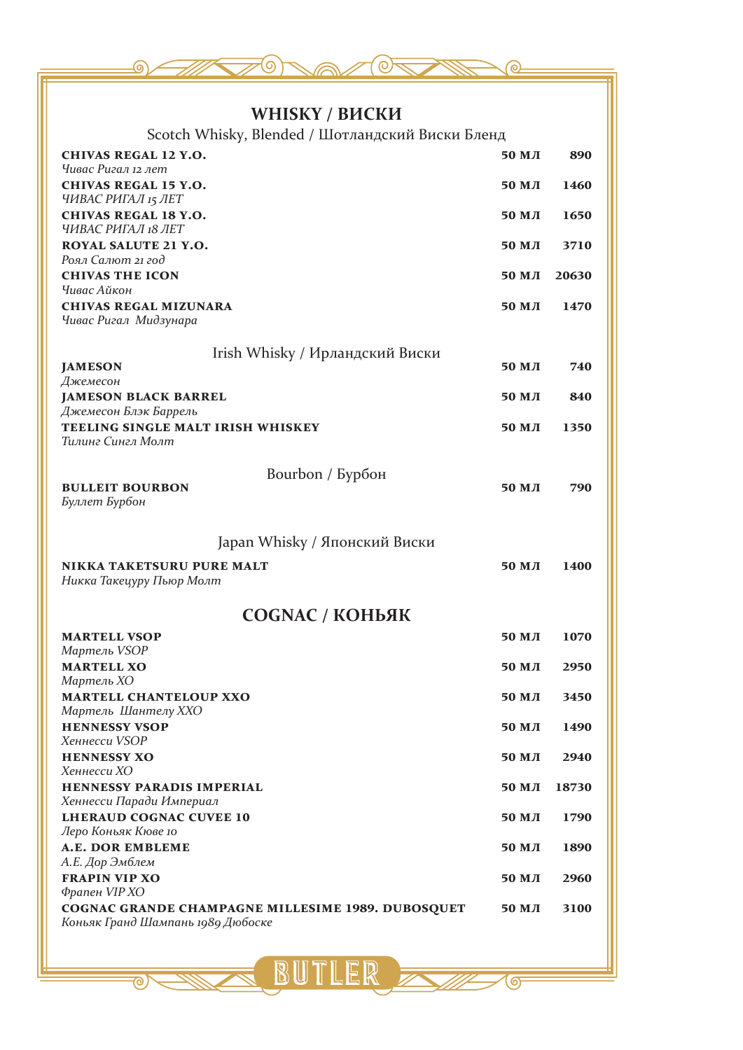| WHISKY / ВИСКИ                                                     |                 |             |
|--------------------------------------------------------------------|-----------------|-------------|
| Scotch Whisky, Blended / Шотландский Виски Бленд                   |                 |             |
| <b>CHIVAS REGAL 12 Y.O.</b><br>Чивас Ригал 12 лет                  | 50 M <i>J</i> I | 890         |
| <b>CHIVAS REGAL 15 Y.O.</b>                                        | 50 M <i>J</i> I | 1460        |
| ЧИВАС РИГАЛ 15 ЛЕТ<br><b>CHIVAS REGAL 18 Y.O.</b>                  | 50 M J          | 1650        |
| ЧИВАС РИГАЛ 18 ЛЕТ<br>ROYAL SALUTE 21 Y.O.                         | 50 M <i>J</i> I | 3710        |
| Роял Салют 21 год                                                  |                 |             |
| <b>CHIVAS THE ICON</b><br>Чивас Айкон                              | 50 MJI          | 20630       |
| <b>CHIVAS REGAL MIZUNARA</b><br>Чивас Ригал Мидзунара              | $50$ M $\pi$    | 1470        |
|                                                                    |                 |             |
| Irish Whisky / Ирландский Виски<br><b>JAMESON</b>                  | 50 MJ           | 740         |
| Джемесон<br><b>JAMESON BLACK BARREL</b>                            | 50 MJI          | 840         |
| Джемесон Блэк Баррель<br>TEELING SINGLE MALT IRISH WHISKEY         | 50 MJI          | 1350        |
| Тилинг Сингл Молт                                                  |                 |             |
| Bourbon / Бурбон                                                   |                 |             |
| <b>BULLEIT BOURBON</b><br>Буллет Бурбон                            | 50 MJI          | 790         |
|                                                                    |                 |             |
| Japan Whisky / Японский Виски                                      |                 |             |
| <b>NIKKA TAKETSURU PURE MALT</b>                                   | 50 M <i>J</i> I | <b>1400</b> |
| Никка Такецуру Пьюр Молт                                           |                 |             |
| <b>COGNAC / КОНЬЯК</b>                                             |                 |             |
| <b>MARTELL VSOP</b><br>Мартель VSOP                                | 50 MJI          | 1070        |
| <b>MARTELL XO</b>                                                  | 50 MJI          | 2950        |
| Мартель ХО<br><b>MARTELL CHANTELOUP XXO</b>                        | 50 M <i>J</i> I | 3450        |
| Мартель Шантелу ХХО<br><b>HENNESSY VSOP</b>                        | 50 M <i>J</i> I | 1490        |
| Хеннесси VSOP                                                      |                 |             |
| <b>HENNESSY XO</b><br>Хеннесси ХО                                  | 50 M <i>J</i> I | 2940        |
| HENNESSY PARADIS IMPERIAL<br>Хеннесси Паради Империал              | 50 MJI          | 18730       |
| <b>LHERAUD COGNAC CUVEE 10</b>                                     | 50 MJI          | 1790        |
| Леро Коньяк Кюве 10<br><b>A.E. DOR EMBLEME</b>                     | 50 MJI          | 1890        |
| А.Е. Дор Эмблем<br><b>FRAPIN VIP XO</b>                            | 50 M <i>J</i> I | 2960        |
| Фрапен VIP XO<br>COGNAC GRANDE CHAMPAGNE MILLESIME 1989. DUBOSQUET | 50 MJI          | 3100        |
| Коньяк Гранд Шампань 1989 Дюбоске                                  |                 |             |
|                                                                    |                 |             |
|                                                                    |                 |             |

<u>ල</u>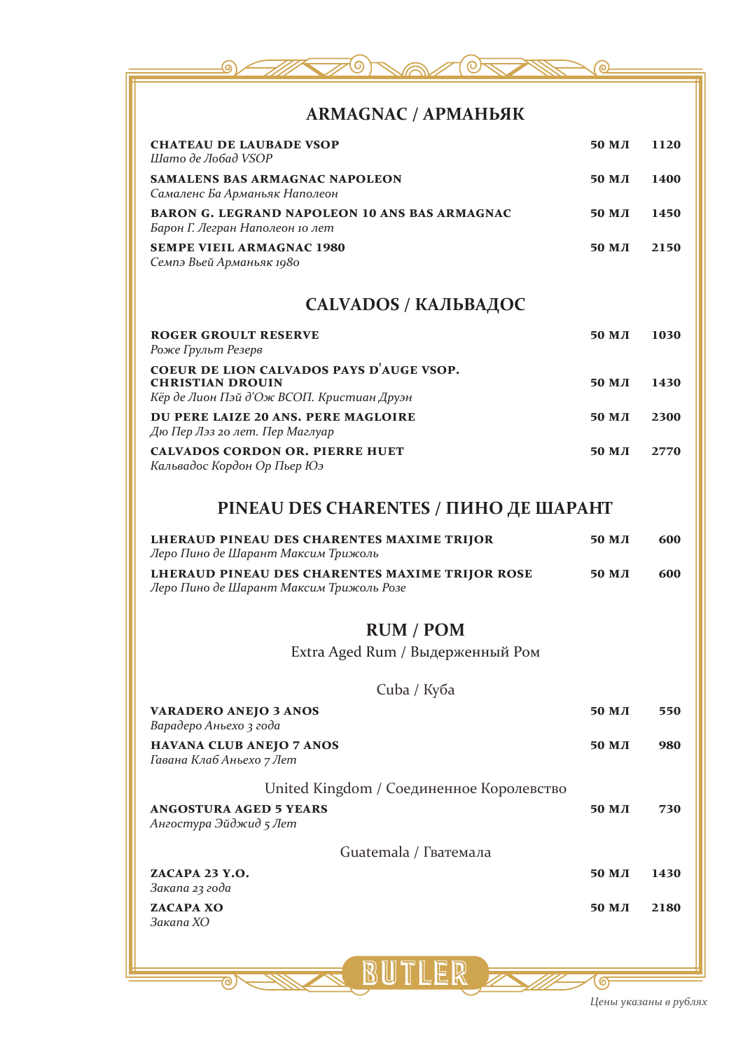

#### **ARMAGNAC / АРМАНЬЯК**

| <b>CHATEAU DE LAUBADE VSOP</b><br>Шато де Лобад VSOP                                                             | 50 M J | 1120 |
|------------------------------------------------------------------------------------------------------------------|--------|------|
| <b>SAMALENS BAS ARMAGNAC NAPOLEON</b><br>Самаленс Ба Арманьяк Наполеон                                           | 50 M J | 1400 |
| <b>BARON G. LEGRAND NAPOLEON 10 ANS BAS ARMAGNAC</b><br>Барон Г. Легран Наполеон 10 лет                          | 50 M J | 1450 |
| <b>SEMPE VIEIL ARMAGNAC 1980</b><br>Семпэ Вьей Арманьяк 1980                                                     | 50 M J | 2150 |
| <b>CALVADOS / КАЛЬВАДОС</b>                                                                                      |        |      |
| <b>ROGER GROULT RESERVE</b><br>Роже Грульт Резерв                                                                | 50 M J | 1030 |
| COEUR DE LION CALVADOS PAYS D'AUGE VSOP.<br><b>CHRISTIAN DROUIN</b><br>Кёр де Лион Пэй д'Ож ВСОП. Кристиан Друэн | 50 M J | 1430 |
| DU PERE LAIZE 20 ANS. PERE MAGLOIRE<br>Дю Пер Лэз 20 лет. Пер Маглуар                                            | 50 M J | 2300 |
| <b>CALVADOS CORDON OR. PIERRE HUET</b><br>Кальвадос Кордон Ор Пьер Юэ                                            | 50 MJ  | 2770 |

## **PINEAU DES CHARENTES / ПИНО ДЕ ШАРАНТ**

| LHERAUD PINEAU DES CHARENTES MAXIME TRIJOR<br>Леро Пино де Шарант Максим Трижоль | $50$ M $\pi$ | 600 |
|----------------------------------------------------------------------------------|--------------|-----|
| LHERAUD PINEAU DES CHARENTES MAXIME TRIJOR ROSE                                  | $50$ M $\pi$ | 600 |
| Леро Пино де Шарант Максим Трижоль Розе                                          |              |     |

### **RUM / РОМ**

Extra Aged Rum / Выдерженный Ром

| Cuba / Ky <sub>b</sub> a                                    |                 |      |
|-------------------------------------------------------------|-----------------|------|
| <b>VARADERO ANEJO 3 ANOS</b><br>Варадеро Аньехо з года      | 50 MJI          | 550  |
| <b>HAVANA CLUB ANEJO 7 ANOS</b><br>Гавана Клаб Аньехо 7 Лет | 50 MJ           | 980  |
| United Kingdom / Соединенное Королевство                    |                 |      |
| <b>ANGOSTURA AGED 5 YEARS</b><br>Ангостура Эйджид 5 Лет     | 50 M J          | 730  |
| Guatemala / Гватемала                                       |                 |      |
| ZACAPA 23 Y.O.<br>Закапа 23 года                            | 50 MJI          | 1430 |
| ZACAPA XO<br>Закапа ХО                                      | 50 M <i>J</i> I | 2180 |
|                                                             |                 |      |

 $\mathbb{B}$ 

ಗಾ

ெ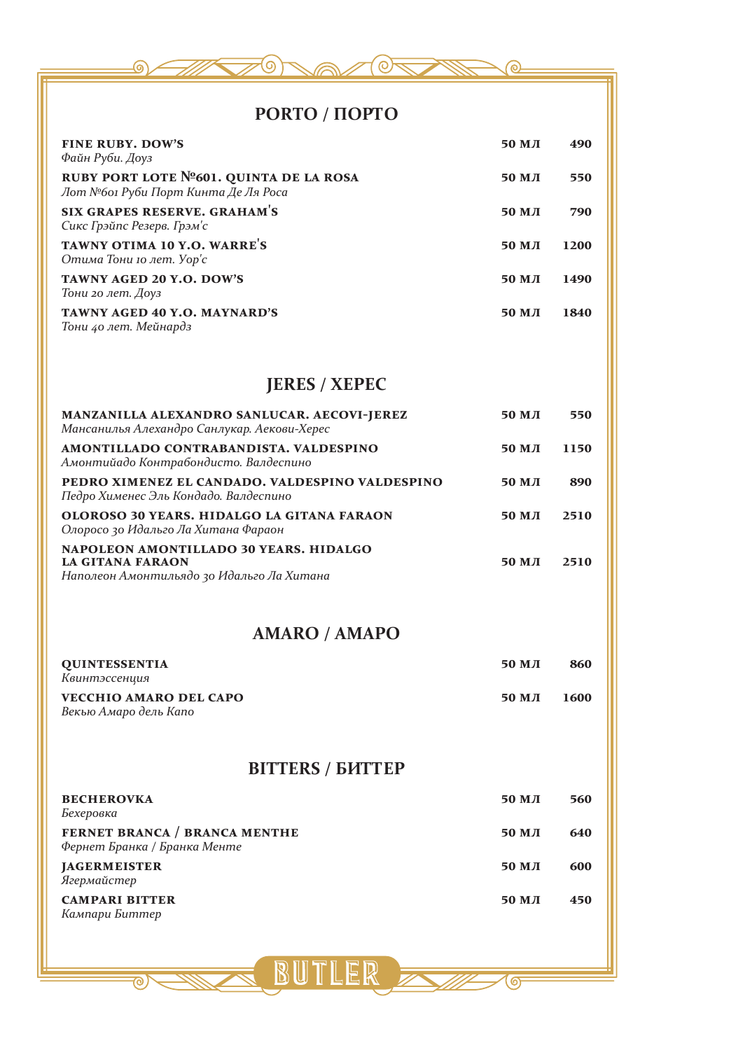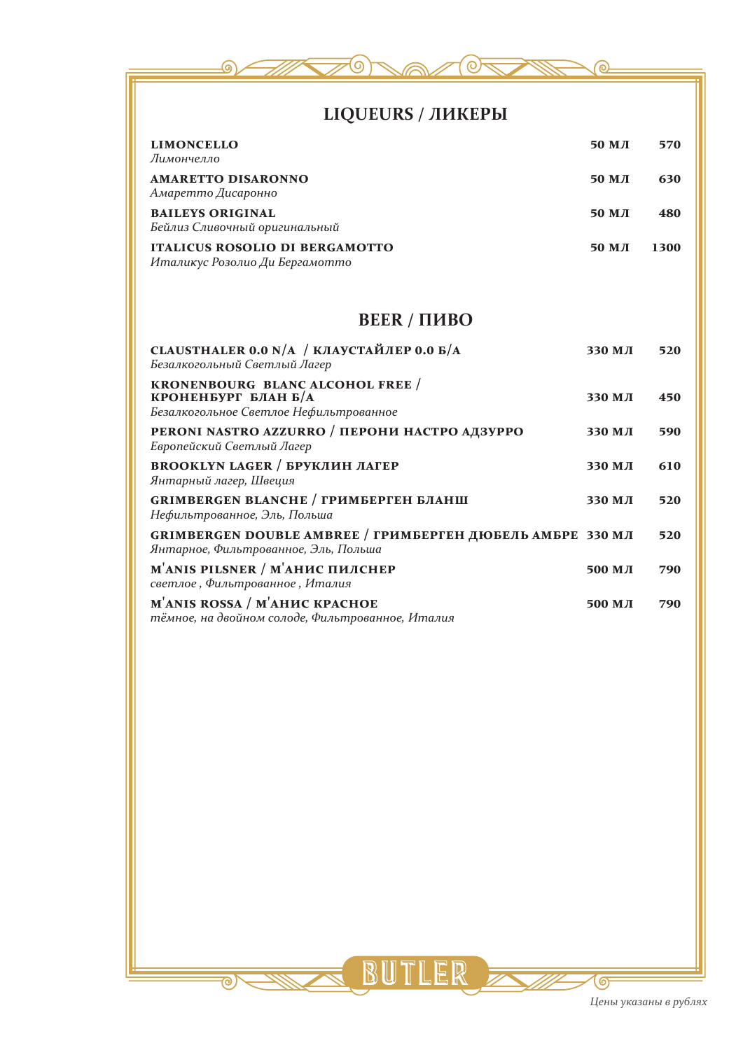

*светлое , Фильтрованное , Италия*

**M'anis rossa / М'анис красное 500 мл 790** *тёмное, на двойном солоде, Фильтрованное, Италия*

൳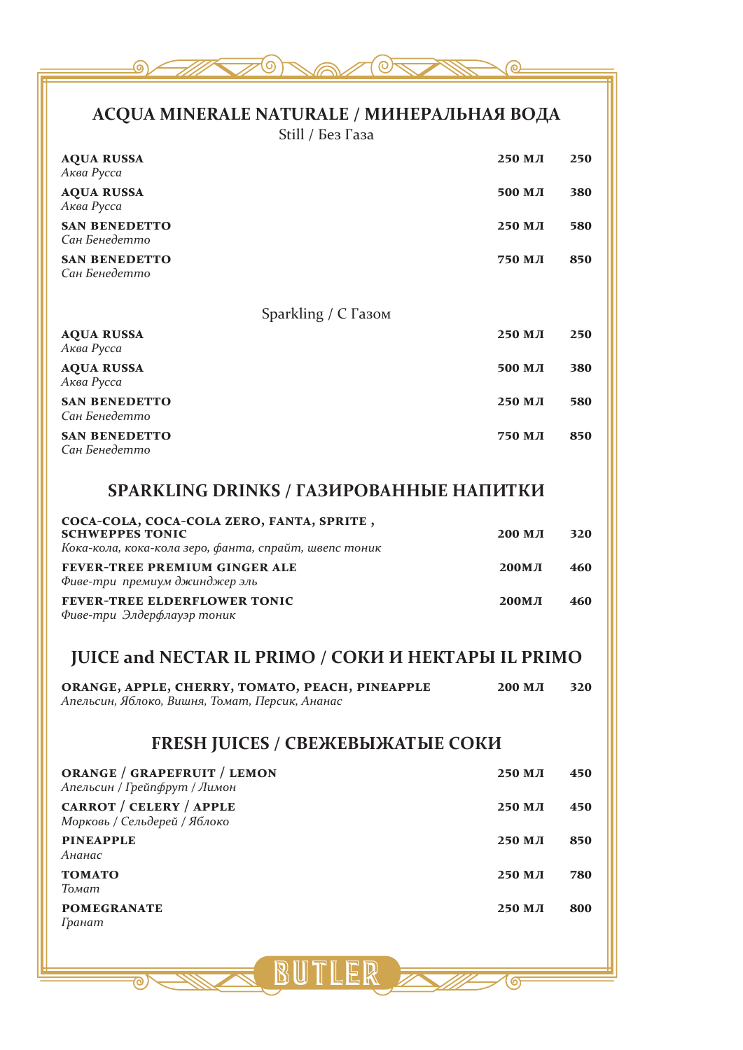

## **ACQUA MINERALE NATURALE / МИНЕРАЛЬНАЯ ВОДА**

Still / Без Газа

| <b>AQUA RUSSA</b><br>Аква Русса                                                                                              | 250 МЛ       | 250 |
|------------------------------------------------------------------------------------------------------------------------------|--------------|-----|
| <b>AQUA RUSSA</b><br>Аква Русса                                                                                              | 500 МЛ       | 380 |
| <b>SAN BENEDETTO</b><br>Сан Бенедетто                                                                                        | 250 мл       | 580 |
| <b>SAN BENEDETTO</b><br>Сан Бенедетто                                                                                        | 750 МЛ       | 850 |
|                                                                                                                              |              |     |
| Sparkling / С Газом<br><b>AQUA RUSSA</b>                                                                                     | 250 МЛ       | 250 |
| Аква Русса                                                                                                                   |              |     |
| <b>AQUA RUSSA</b><br>Аква Русса                                                                                              | 500 МЛ       | 380 |
| <b>SAN BENEDETTO</b><br>Сан Бенедетто                                                                                        | 250 МЛ       | 580 |
| <b>SAN BENEDETTO</b><br>Сан Бенедетто                                                                                        | 750 МЛ       | 850 |
| <b>SPARKLING DRINKS / ГАЗИРОВАННЫЕ НАПИТКИ</b>                                                                               |              |     |
|                                                                                                                              |              |     |
| COCA-COLA, COCA-COLA ZERO, FANTA, SPRITE,<br><b>SCHWEPPES TONIC</b><br>Кока-кола, кока-кола зеро, фанта, спрайт, швепс тоник | 200 МЛ       | 320 |
| FEVER-TREE PREMIUM GINGER ALE<br>Фиве-три премиум джинджер эль                                                               | <b>200МЛ</b> | 460 |
| <b>FEVER-TREE ELDERFLOWER TONIC</b><br>Фиве-три Элдерфлауэр тоник                                                            | <b>200МЛ</b> | 460 |
| <b>JUICE and NECTAR IL PRIMO / COKH H HEKTAPH IL PRIMO</b>                                                                   |              |     |
|                                                                                                                              |              |     |
| ORANGE, APPLE, CHERRY, TOMATO, PEACH, PINEAPPLE<br>Апельсин, Яблоко, Вишня, Томат, Персик, Ананас                            | 200 мл       | 320 |
| <b>FRESH JUICES / СВЕЖЕВЫЖАТЫЕ СОКИ</b>                                                                                      |              |     |
| <b>ORANGE / GRAPEFRUIT / LEMON</b><br>Апельсин / Грейпфрут / Лимон                                                           | 250 МЛ       | 450 |
| CARROT / CELERY / APPLE<br>Морковь / Сельдерей / Яблоко                                                                      | 250 МЛ       | 450 |
| <b>PINEAPPLE</b>                                                                                                             | 250 МЛ       | 850 |
| Ананас                                                                                                                       |              |     |
| <b>TOMATO</b><br>Томат                                                                                                       | 250 МЛ       | 780 |
| <b>POMEGRANATE</b><br>Гранат                                                                                                 | 250 МЛ       | 800 |
|                                                                                                                              |              |     |
| BUTLER FOR                                                                                                                   |              |     |
|                                                                                                                              |              |     |

<u> ඉ</u>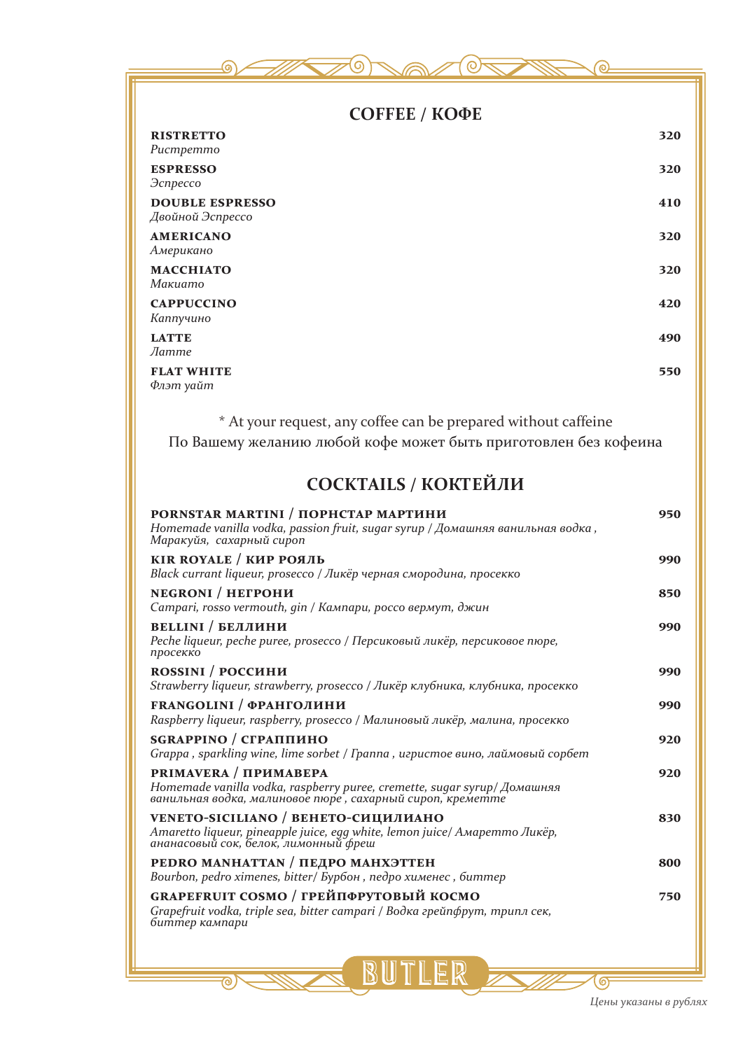| СОҒҒЕЕ / КОФЕ                                                                                                                     |     |  |
|-----------------------------------------------------------------------------------------------------------------------------------|-----|--|
| <b>RISTRETTO</b><br>Pucmpemmo                                                                                                     | 320 |  |
| <b>ESPRESSO</b><br>Эспрессо                                                                                                       | 320 |  |
| <b>DOUBLE ESPRESSO</b><br>Двойной Эспрессо                                                                                        | 410 |  |
| <b>AMERICANO</b><br>Американо                                                                                                     | 320 |  |
| <b>MACCHIATO</b><br>Makuamo                                                                                                       | 320 |  |
| <b>CAPPUCCINO</b><br>Каппучино                                                                                                    | 420 |  |
| <b>LATTE</b><br><b>Латте</b>                                                                                                      | 490 |  |
| <b>FLAT WHITE</b><br>Флэт уайт                                                                                                    | 550 |  |
| * At your request, any coffee can be prepared without caffeine<br>По Вашему желанию любой кофе может быть приготовлен без кофеина |     |  |
| <b>COCKTAILS / КОКТЕЙЛИ</b>                                                                                                       |     |  |
| PORNSTAR MARTINI / ПОРНСТАР МАРТИНИ                                                                                               | 950 |  |

| PORNSTAR MARTINI / ПОРНСТАР МАРТИНИ<br>Homemade vanilla vodka, passion fruit, sugar syrup / Домашняя ванильная водка,<br>Маракуйя, сахарный сироп              | 950 |
|----------------------------------------------------------------------------------------------------------------------------------------------------------------|-----|
| <b>KIR ROYALE / КИР РОЯЛЬ</b><br>Black currant liqueur, prosecco / Ликёр черная смородина, просекко                                                            | 990 |
| <b>NEGRONI</b> / НЕГРОНИ<br>Campari, rosso vermouth, gin / Кампари, россо вермут, джин                                                                         | 850 |
| <b>BELLINI / БЕЛЛИНИ</b><br>Peche liqueur, peche puree, prosecco / Персиковый ликёр, персиковое пюре,<br>просекко                                              | 990 |
| ROSSINI / РОССИНИ<br>Strawberry liqueur, strawberry, prosecco / Ликёр клубника, клубника, просекко                                                             | 990 |
| <b>FRANGOLINI / ФРАНГОЛИНИ</b><br>Raspberry liqueur, raspberry, prosecco / Малиновый ликёр, малина, просекко                                                   | 990 |
| SGRAPPINO / СГРАППИНО<br>Grappa, sparkling wine, lime sorbet / Граппа, игристое вино, лаймовый сорбет                                                          | 920 |
| PRIMAVERA / ПРИМАВЕРА<br>Homemade vanilla vodka, raspberry puree, cremette, sugar syrup/ Домашняя<br>ванильная водка, малиновое пюре, сахарный сироп, креметте | 920 |
| VENETO-SICILIANO / ВЕНЕТО-СИЦИЛИАНО<br>Amaretto liqueur, pineapple juice, egg white, lemon juice/ Амаретто Ликёр,<br>ананасовый сок, белок, лимонный фреш      | 830 |
| PEDRO MANHATTAN / ПЕДРО МАНХЭТТЕН<br>Bourbon, pedro ximenes, bitter/ Бурбон, педро хименес, биттер                                                             | 800 |
| GRAPEFRUIT COSMO / ГРЕЙПФРУТОВЫЙ КОСМО<br>Grapefruit vodka, triple sea, bitter campari / Водка грейпфрут, трипл сек,<br>биттер кампари                         | 750 |
|                                                                                                                                                                |     |

BUTLER

FZ.

 $\overline{\circ}$ 

ு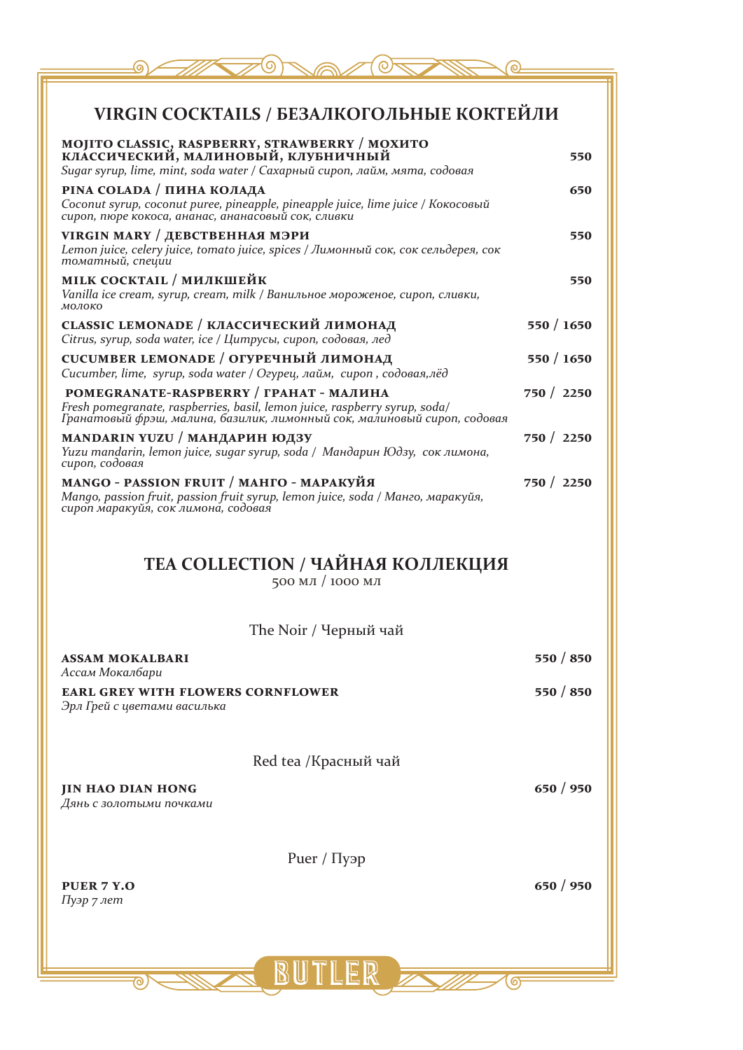| VIRGIN COCKTAILS / БЕЗАЛКОГОЛЬНЫЕ КОКТЕЙЛИ                                                                                                                                                        |            |
|---------------------------------------------------------------------------------------------------------------------------------------------------------------------------------------------------|------------|
| MOJITO CLASSIC, RASPBERRY, STRAWBERRY / МОХИТО<br>КЛАССИЧЕСКИЙ, МАЛИНОВЫЙ, КЛУБНИЧНЫЙ<br>Sugar syrup, lime, mint, soda water / Сахарный сироп, лайм, мята, содовая                                | 550        |
| РІNA COLADA / ПИНА КОЛАДА<br>Coconut syrup, coconut puree, pineapple, pineapple juice, lime juice / Кокосовый<br>сироп, пюре кокоса, ананас, ананасовый сок, сливки                               | 650        |
| VIRGIN MARY / ДЕВСТВЕННАЯ МЭРИ<br>Lemon juice, celery juice, tomato juice, spices / Лимонный сок, сок сельдерея, сок<br>томатный, специи                                                          | 550        |
| <b>MILK COCKTAIL / МИЛКШЕЙК</b><br>Vanilla ice cream, syrup, cream, milk / Ванильное мороженое, сироп, сливки,<br>молоко                                                                          | 550        |
| CLASSIC LEMONADE / КЛАССИЧЕСКИЙ ЛИМОНАД<br>Citrus, syrup, soda water, ice / Цитрусы, сироп, содовая, лед                                                                                          | 550 / 1650 |
| CUCUMBER LEMONADE / ОГУРЕЧНЫЙ ЛИМОНАД<br>Cucumber, lime, syrup, soda water / Огурец, лайм, сироп, содовая,лёд                                                                                     | 550 / 1650 |
| POMEGRANATE-RASPBERRY / ГРАНАТ - МАЛИНА<br>Fresh pomegranate, raspberries, basil, lemon juice, raspberry syrup, soda/<br>Гранатовый фрэш, малина, базилик, лимонный сок, малиновый сироп, содовая | 750 / 2250 |
| MANDARIN YUZU / МАНДАРИН ЮДЗУ<br>Yuzu mandarin, lemon juice, sugar syrup, soda / Мандарин Юдзу, сок лимона,<br>сироп, содовая                                                                     | 750 / 2250 |
| MANGO - PASSION FRUIT / МАНГО - МАРАКУЙЯ<br>Mango, passion fruit, passion fruit syrup, lemon juice, soda / Манго, маракуйя,<br>сироп маракуйя, сок лимона, содовая                                | 750 / 2250 |
| <b>TEA COLLECTION / ЧАЙНАЯ КОЛЛЕКЦИЯ</b><br>500 МЛ / 1000 МЛ                                                                                                                                      |            |
| The Noir / Черный чай                                                                                                                                                                             |            |
| <b>ASSAM MOKALBARI</b>                                                                                                                                                                            | 550 / 850  |
| Ассам Мокалбари<br><b>EARL GREY WITH FLOWERS CORNFLOWER</b><br>Эрл Грей с цветами василька                                                                                                        | 550 / 850  |
| Red tea /Красный чай                                                                                                                                                                              |            |
| <b>JIN HAO DIAN HONG</b><br>Дянь с золотыми почками                                                                                                                                               | 650 / 950  |
| Pиег / Пуэр                                                                                                                                                                                       |            |
| PUER 7 Y.O<br>Пуэр 7 лет                                                                                                                                                                          | 650 / 950  |
|                                                                                                                                                                                                   |            |
|                                                                                                                                                                                                   |            |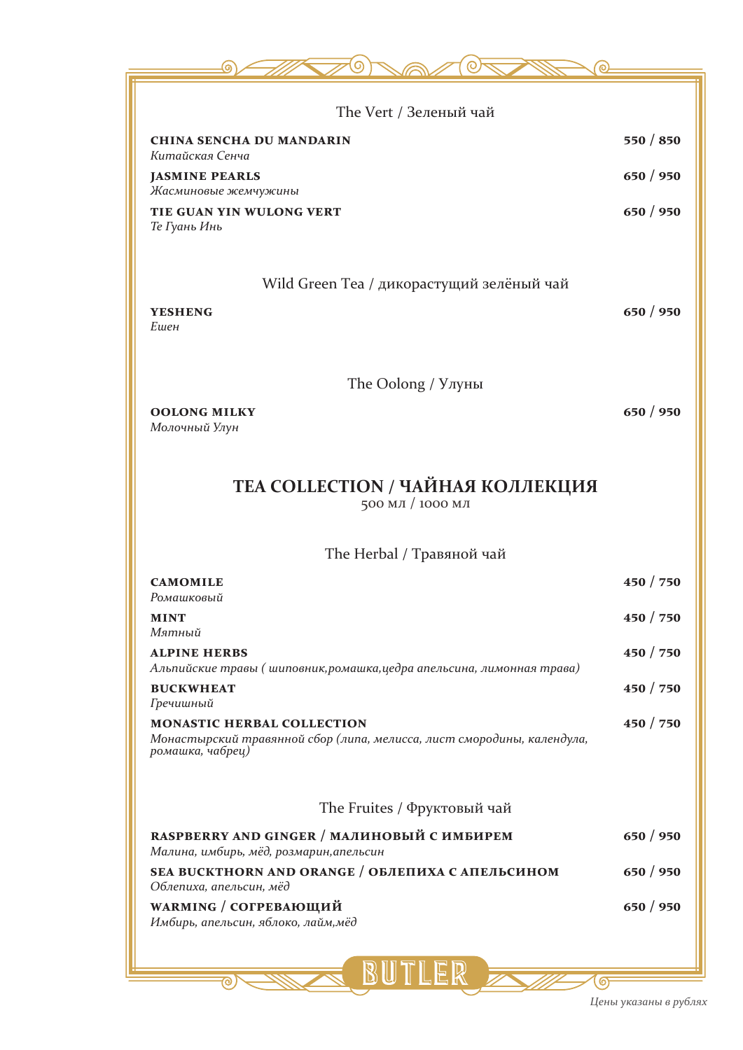| The Vert / Зеленый чай                                                                                                          |           |
|---------------------------------------------------------------------------------------------------------------------------------|-----------|
| <b>CHINA SENCHA DU MANDARIN</b><br>Китайская Сенча                                                                              | 550 / 850 |
| <b>JASMINE PEARLS</b><br>Жасминовые жемчужины                                                                                   | 650 / 950 |
| TIE GUAN YIN WULONG VERT<br>Те Гуань Инь                                                                                        | 650 / 950 |
|                                                                                                                                 |           |
| Wild Green Tea / дикорастущий зелёный чай                                                                                       |           |
| <b>YESHENG</b><br>Ешен                                                                                                          | 650 / 950 |
|                                                                                                                                 |           |
| The Oolong / Улуны                                                                                                              |           |
| <b>OOLONG MILKY</b><br>Молочный Улун                                                                                            | 650 / 950 |
|                                                                                                                                 |           |
| ТЕА COLLECTION / ЧАЙНАЯ КОЛЛЕКЦИЯ<br>500 МЛ / 1000 МЛ                                                                           |           |
|                                                                                                                                 |           |
| The Herbal / Травяной чай                                                                                                       |           |
| <b>CAMOMILE</b><br>Ромашковый                                                                                                   | 450 / 750 |
| <b>MINT</b><br>Мятный                                                                                                           | 450 / 750 |
| <b>ALPINE HERBS</b><br>Альпийские травы ( шиповник, ромашка, цедра апельсина, лимонная трава)                                   | 450 / 750 |
| <b>BUCKWHEAT</b><br>Гречишный                                                                                                   | 450 / 750 |
| <b>MONASTIC HERBAL COLLECTION</b><br>Монастырский травянной сбор (липа, мелисса, лист смородины, календула,<br>ромашка, чабрец) | 450 / 750 |
|                                                                                                                                 |           |
| The Fruites / Фруктовый чай                                                                                                     |           |
| RASPBERRY AND GINGER / МАЛИНОВЫЙ С ИМБИРЕМ<br>Малина, имбирь, мёд, розмарин, апельсин                                           | 650 / 950 |
| SEA BUCKTHORN AND ORANGE / ОБЛЕПИХА С АПЕЛЬСИНОМ<br>Облепиха, апельсин, мёд                                                     | 650 / 950 |
| WARMING / СОГРЕВАЮЩИЙ<br>Имбирь, апельсин, яблоко, лайм, мёд                                                                    | 650 / 950 |
|                                                                                                                                 |           |
|                                                                                                                                 |           |